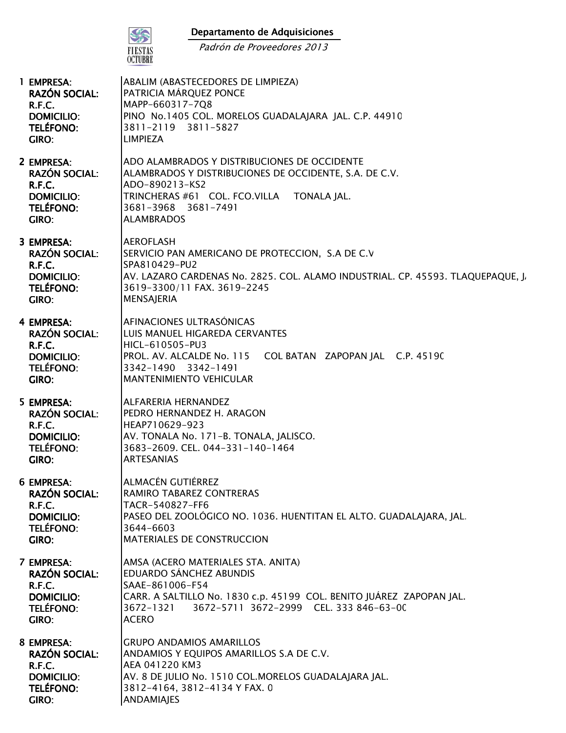## Departamento de Adquisiciones



Padrón de Proveedores 2013

| 1 EMPRESA:                                                                                            | ABALIM (ABASTECEDORES DE LIMPIEZA)                                                                                                                                                                                              |
|-------------------------------------------------------------------------------------------------------|---------------------------------------------------------------------------------------------------------------------------------------------------------------------------------------------------------------------------------|
| <b>RAZÓN SOCIAL:</b>                                                                                  | PATRICIA MÁRQUEZ PONCE                                                                                                                                                                                                          |
| R.F.C.                                                                                                | MAPP-660317-7Q8                                                                                                                                                                                                                 |
| <b>DOMICILIO:</b>                                                                                     | PINO No.1405 COL. MORELOS GUADALAJARA JAL. C.P. 44910                                                                                                                                                                           |
| <b>TELÉFONO:</b>                                                                                      | 3811-2119 3811-5827                                                                                                                                                                                                             |
| GIRO:                                                                                                 | <b>LIMPIEZA</b>                                                                                                                                                                                                                 |
| 2 EMPRESA:<br><b>RAZÓN SOCIAL:</b><br>R.F.C.<br><b>DOMICILIO:</b><br><b>TELÉFONO:</b><br>GIRO:        | ADO ALAMBRADOS Y DISTRIBUCIONES DE OCCIDENTE<br>ALAMBRADOS Y DISTRIBUCIONES DE OCCIDENTE, S.A. DE C.V.<br>ADO-890213-KS2<br>TRINCHERAS #61 COL. FCO.VILLA<br><b>TONALA JAL.</b><br>3681-3968 3681-7491<br><b>ALAMBRADOS</b>     |
| 3 EMPRESA:                                                                                            | <b>AEROFLASH</b>                                                                                                                                                                                                                |
| <b>RAZÓN SOCIAL:</b>                                                                                  | SERVICIO PAN AMERICANO DE PROTECCION, S.A DE C.V                                                                                                                                                                                |
| R.F.C.                                                                                                | SPA810429-PU2                                                                                                                                                                                                                   |
| <b>DOMICILIO:</b>                                                                                     | AV. LAZARO CARDENAS No. 2825. COL. ALAMO INDUSTRIAL. CP. 45593. TLAQUEPAQUE, J,                                                                                                                                                 |
| <b>TELÉFONO:</b>                                                                                      | 3619-3300/11 FAX. 3619-2245                                                                                                                                                                                                     |
| <b>GIRO:</b>                                                                                          | <b>MENSAJERIA</b>                                                                                                                                                                                                               |
| 4 EMPRESA:<br><b>RAZÓN SOCIAL:</b><br>R.F.C.<br><b>DOMICILIO:</b><br><b>TELÉFONO:</b><br>GIRO:        | AFINACIONES ULTRASÓNICAS<br>LUIS MANUEL HIGAREDA CERVANTES<br>HICL-610505-PU3<br>PROL. AV. ALCALDE No. 115<br>COL BATAN ZAPOPAN JAL C.P. 45190<br>3342-1490 3342-1491<br><b>MANTENIMIENTO VEHICULAR</b>                         |
| 5 EMPRESA:                                                                                            | ALFARERIA HERNANDEZ                                                                                                                                                                                                             |
| <b>RAZÓN SOCIAL:</b>                                                                                  | PEDRO HERNANDEZ H. ARAGON                                                                                                                                                                                                       |
| <b>R.F.C.</b>                                                                                         | HEAP710629-923                                                                                                                                                                                                                  |
| <b>DOMICILIO:</b>                                                                                     | AV. TONALA No. 171-B. TONALA, JALISCO.                                                                                                                                                                                          |
| <b>TELÉFONO:</b>                                                                                      | 3683-2609. CEL. 044-331-140-1464                                                                                                                                                                                                |
| GIRO:                                                                                                 | <b>ARTESANIAS</b>                                                                                                                                                                                                               |
| <b>6 EMPRESA:</b>                                                                                     | ALMACÉN GUTIÉRREZ                                                                                                                                                                                                               |
| <b>RAZÓN SOCIAL:</b>                                                                                  | RAMIRO TABAREZ CONTRERAS                                                                                                                                                                                                        |
| R.F.C.                                                                                                | TACR-540827-FF6                                                                                                                                                                                                                 |
| <b>DOMICILIO:</b>                                                                                     | PASEO DEL ZOOLÓGICO NO. 1036. HUENTITAN EL ALTO. GUADALAJARA, JAL.                                                                                                                                                              |
| <b>TELÉFONO:</b>                                                                                      | 3644-6603                                                                                                                                                                                                                       |
| GIRO:                                                                                                 | MATERIALES DE CONSTRUCCION                                                                                                                                                                                                      |
| 7 EMPRESA:<br><b>RAZÓN SOCIAL:</b><br>R.F.C.<br><b>DOMICILIO:</b><br><b>TELÉFONO:</b><br><b>GIRO:</b> | AMSA (ACERO MATERIALES STA. ANITA)<br>EDUARDO SÁNCHEZ ABUNDIS<br>SAAE-861006-F54<br>CARR. A SALTILLO No. 1830 c.p. 45199 COL. BENITO JUÁREZ ZAPOPAN JAL.<br>3672-5711 3672-2999 CEL, 333 846-63-00<br>3672-1321<br><b>ACERO</b> |
| 8 EMPRESA:                                                                                            | <b>GRUPO ANDAMIOS AMARILLOS</b>                                                                                                                                                                                                 |
| <b>RAZÓN SOCIAL:</b>                                                                                  | ANDAMIOS Y EQUIPOS AMARILLOS S.A DE C.V.                                                                                                                                                                                        |
| <b>R.F.C.</b>                                                                                         | AEA 041220 KM3                                                                                                                                                                                                                  |
| <b>DOMICILIO:</b>                                                                                     | AV. 8 DE JULIO No. 1510 COL.MORELOS GUADALAJARA JAL.                                                                                                                                                                            |
| <b>TELÉFONO:</b>                                                                                      | 3812-4164, 3812-4134 Y FAX. 0                                                                                                                                                                                                   |
| GIRO:                                                                                                 | ANDAMIAJES                                                                                                                                                                                                                      |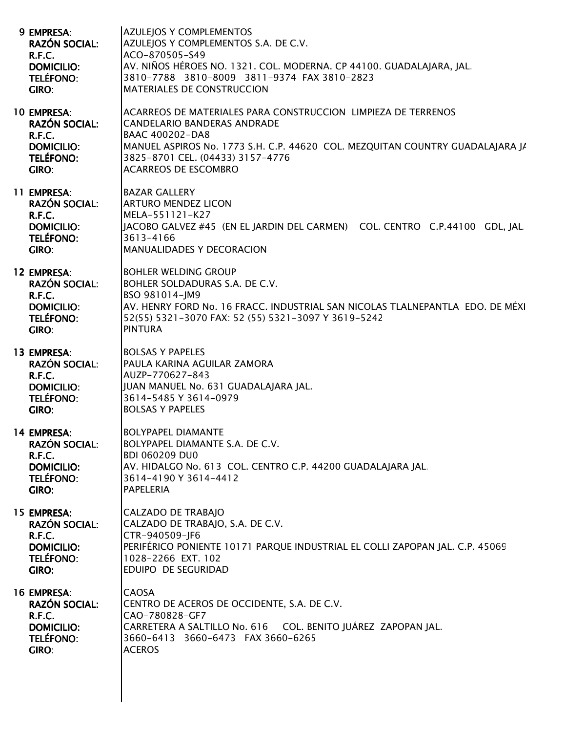| 9 EMPRESA:<br><b>RAZÓN SOCIAL:</b><br>R.F.C.<br><b>DOMICILIO:</b><br>TELÉFONO:<br>GIRO:         | <b>AZULEJOS Y COMPLEMENTOS</b><br>AZULEJOS Y COMPLEMENTOS S.A. DE C.V.<br>ACO-870505-S49<br>AV. NIÑOS HÉROES NO. 1321. COL. MODERNA. CP 44100. GUADALAJARA, JAL.<br>3810-7788 3810-8009 3811-9374 FAX 3810-2823<br>MATERIALES DE CONSTRUCCION                              |
|-------------------------------------------------------------------------------------------------|----------------------------------------------------------------------------------------------------------------------------------------------------------------------------------------------------------------------------------------------------------------------------|
| <b>10 EMPRESA:</b><br><b>RAZÓN SOCIAL:</b><br>R.F.C.<br><b>DOMICILIO:</b><br>TELÉFONO:<br>GIRO: | ACARREOS DE MATERIALES PARA CONSTRUCCION LIMPIEZA DE TERRENOS<br><b>CANDELARIO BANDERAS ANDRADE</b><br>BAAC 400202-DA8<br>MANUEL ASPIROS No. 1773 S.H. C.P. 44620 COL. MEZQUITAN COUNTRY GUADALAJARA JA<br>3825-8701 CEL. (04433) 3157-4776<br><b>ACARREOS DE ESCOMBRO</b> |
| 11 EMPRESA:<br><b>RAZÓN SOCIAL:</b><br>R.F.C.<br><b>DOMICILIO:</b><br><b>TELÉFONO:</b><br>GIRO: | <b>BAZAR GALLERY</b><br><b>ARTURO MENDEZ LICON</b><br>MELA-551121-K27<br>JACOBO GALVEZ #45 (EN EL JARDIN DEL CARMEN) COL. CENTRO C.P.44100 GDL, JAL<br>3613-4166<br>MANUALIDADES Y DECORACION                                                                              |
| 12 EMPRESA:<br><b>RAZÓN SOCIAL:</b><br>R.F.C.<br><b>DOMICILIO:</b><br><b>TELÉFONO:</b><br>GIRO: | <b>BOHLER WELDING GROUP</b><br>BOHLER SOLDADURAS S.A. DE C.V.<br>BSO 981014-JM9<br>AV. HENRY FORD No. 16 FRACC. INDUSTRIAL SAN NICOLAS TLALNEPANTLA EDO. DE MÉXI<br>52(55) 5321-3070 FAX: 52 (55) 5321-3097 Y 3619-5242<br><b>PINTURA</b>                                  |
| 13 EMPRESA:<br><b>RAZÓN SOCIAL:</b><br>R.F.C.<br><b>DOMICILIO:</b><br><b>TELÉFONO:</b><br>GIRO: | <b>BOLSAS Y PAPELES</b><br>PAULA KARINA AGUILAR ZAMORA<br>AUZP-770627-843<br>JUAN MANUEL No. 631 GUADALAJARA JAL.<br>3614-5485 Y 3614-0979<br><b>BOLSAS Y PAPELES</b>                                                                                                      |
| 14 EMPRESA:<br><b>RAZÓN SOCIAL:</b><br>R.F.C.<br><b>DOMICILIO:</b><br><b>TELÉFONO:</b><br>GIRO: | <b>BOLYPAPEL DIAMANTE</b><br>BOLYPAPEL DIAMANTE S.A. DE C.V.<br><b>BDI 060209 DU0</b><br>AV. HIDALGO No. 613 COL. CENTRO C.P. 44200 GUADALAJARA JAL<br>3614-4190 Y 3614-4412<br><b>PAPELERIA</b>                                                                           |
| 15 EMPRESA:<br><b>RAZÓN SOCIAL:</b><br>R.F.C.<br><b>DOMICILIO:</b><br>TELÉFONO:<br>GIRO:        | <b>CALZADO DE TRABAJO</b><br>CALZADO DE TRABAJO, S.A. DE C.V.<br>CTR-940509-JF6<br>PERIFÉRICO PONIENTE 10171 PARQUE INDUSTRIAL EL COLLI ZAPOPAN JAL. C.P. 45069<br>1028-2266 EXT. 102<br>EDUIPO DE SEGURIDAD                                                               |
| 16 EMPRESA:<br><b>RAZÓN SOCIAL:</b><br>R.F.C.<br><b>DOMICILIO:</b><br><b>TELÉFONO:</b><br>GIRO: | <b>CAOSA</b><br>CENTRO DE ACEROS DE OCCIDENTE, S.A. DE C.V.<br>CAO-780828-GF7<br>CARRETERA A SALTILLO No. 616 COL. BENITO JUÁREZ ZAPOPAN JAL.<br>3660-6413 3660-6473 FAX 3660-6265<br><b>ACEROS</b>                                                                        |
|                                                                                                 |                                                                                                                                                                                                                                                                            |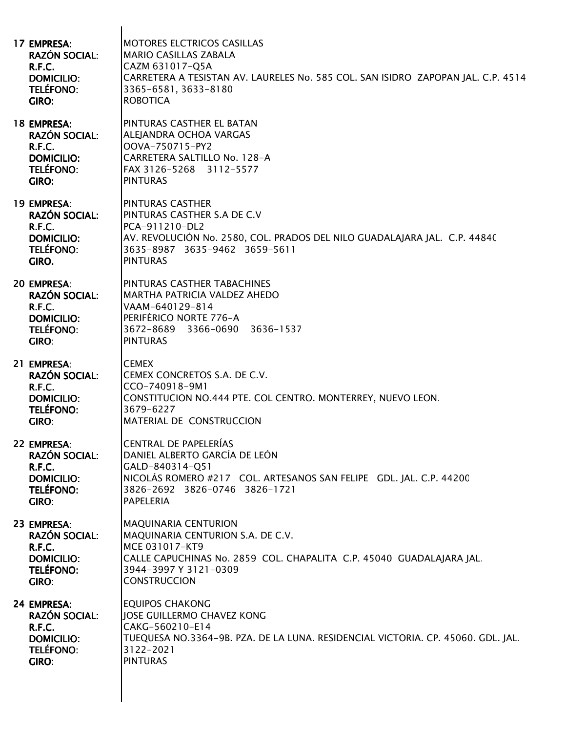| 17 EMPRESA:          | <b>MOTORES ELCTRICOS CASILLAS</b>                                                |
|----------------------|----------------------------------------------------------------------------------|
| <b>RAZÓN SOCIAL:</b> | <b>MARIO CASILLAS ZABALA</b>                                                     |
| R.F.C.               | CAZM 631017-Q5A                                                                  |
| <b>DOMICILIO:</b>    | CARRETERA A TESISTAN AV. LAURELES No. 585 COL. SAN ISIDRO ZAPOPAN JAL. C.P. 4514 |
| <b>TELÉFONO:</b>     | 3365-6581, 3633-8180                                                             |
| GIRO:                | <b>ROBOTICA</b>                                                                  |
| 18 EMPRESA:          | PINTURAS CASTHER EL BATAN                                                        |
| <b>RAZÓN SOCIAL:</b> | ALEJANDRA OCHOA VARGAS                                                           |
| R.F.C.               | OOVA-750715-PY2                                                                  |
| <b>DOMICILIO:</b>    | CARRETERA SALTILLO No. 128-A                                                     |
| <b>TELÉFONO:</b>     | FAX 3126-5268 3112-5577                                                          |
| <b>GIRO:</b>         | <b>PINTURAS</b>                                                                  |
| 19 EMPRESA:          | <b>PINTURAS CASTHER</b>                                                          |
| <b>RAZÓN SOCIAL:</b> | PINTURAS CASTHER S.A DE C.V                                                      |
| <b>R.F.C.</b>        | PCA-911210-DL2                                                                   |
| <b>DOMICILIO:</b>    | AV. REVOLUCIÓN No. 2580, COL. PRADOS DEL NILO GUADALAJARA JAL. C.P. 44840        |
| <b>TELÉFONO:</b>     | 3635-8987 3635-9462 3659-5611                                                    |
| GIRO.                | <b>PINTURAS</b>                                                                  |
| 20 EMPRESA:          | PINTURAS CASTHER TABACHINES                                                      |
| <b>RAZÓN SOCIAL:</b> | MARTHA PATRICIA VALDEZ AHEDO                                                     |
| R.F.C.               | VAAM-640129-814                                                                  |
| <b>DOMICILIO:</b>    | PERIFÉRICO NORTE 776-A                                                           |
| <b>TELÉFONO:</b>     | 3672-8689 3366-0690 3636-1537                                                    |
| <b>GIRO:</b>         | <b>PINTURAS</b>                                                                  |
| 21 EMPRESA:          | <b>CEMEX</b>                                                                     |
| <b>RAZÓN SOCIAL:</b> | CEMEX CONCRETOS S.A. DE C.V.                                                     |
| R.F.C.               | CCO-740918-9M1                                                                   |
| <b>DOMICILIO:</b>    | CONSTITUCION NO.444 PTE. COL CENTRO. MONTERREY, NUEVO LEON.                      |
| <b>TELÉFONO:</b>     | 3679-6227                                                                        |
| GIRO:                | MATERIAL DE CONSTRUCCION                                                         |
| 22 EMPRESA:          | <b>CENTRAL DE PAPELERÍAS</b>                                                     |
| <b>RAZÓN SOCIAL:</b> | DANIEL ALBERTO GARCÍA DE LEÓN                                                    |
| R.F.C.               | GALD-840314-Q51                                                                  |
| <b>DOMICILIO:</b>    | NICOLÁS ROMERO #217 COL. ARTESANOS SAN FELIPE GDL. JAL. C.P. 44200               |
| <b>TELÉFONO:</b>     | 3826-2692 3826-0746 3826-1721                                                    |
| <b>GIRO:</b>         | <b>PAPELERIA</b>                                                                 |
| 23 EMPRESA:          | <b>MAQUINARIA CENTURION</b>                                                      |
| <b>RAZÓN SOCIAL:</b> | MAQUINARIA CENTURION S.A. DE C.V.                                                |
| R.F.C.               | MCE 031017-KT9                                                                   |
| <b>DOMICILIO:</b>    | CALLE CAPUCHINAS No. 2859 COL. CHAPALITA C.P. 45040 GUADALAJARA JAL.             |
| <b>TELÉFONO:</b>     | 3944-3997 Y 3121-0309                                                            |
| GIRO:                | <b>CONSTRUCCION</b>                                                              |
| 24 EMPRESA:          | <b>EQUIPOS CHAKONG</b>                                                           |
| <b>RAZÓN SOCIAL:</b> | JOSE GUILLERMO CHAVEZ KONG                                                       |
| R.F.C.               | CAKG-560210-E14                                                                  |
| <b>DOMICILIO:</b>    | TUEQUESA NO.3364-9B. PZA. DE LA LUNA. RESIDENCIAL VICTORIA. CP. 45060. GDL. JAL. |
| <b>TELÉFONO:</b>     | 3122-2021                                                                        |
| GIRO:                | <b>PINTURAS</b>                                                                  |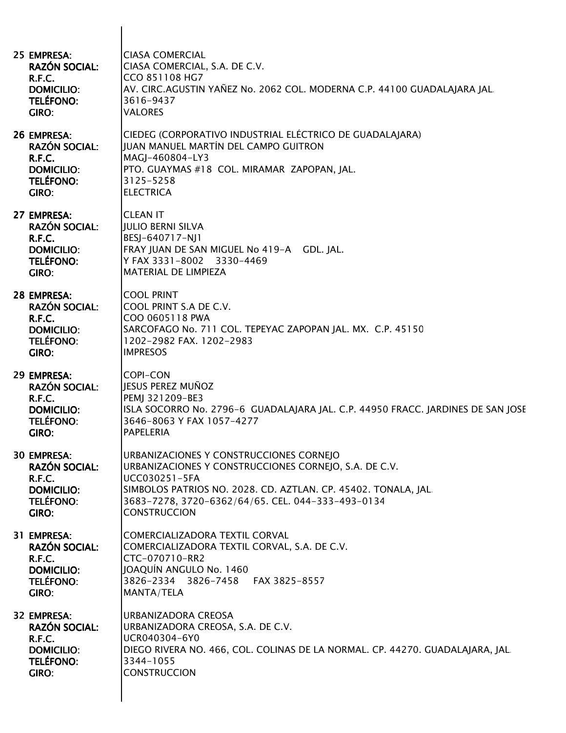| 25 EMPRESA:<br><b>RAZÓN SOCIAL:</b><br><b>R.F.C.</b><br><b>DOMICILIO:</b><br><b>TELÉFONO:</b><br>GIRO: | <b>CIASA COMERCIAL</b><br>CIASA COMERCIAL, S.A. DE C.V.<br>CCO 851108 HG7<br>AV. CIRC.AGUSTIN YAÑEZ No. 2062 COL. MODERNA C.P. 44100 GUADALAJARA JAL.<br>3616-9437<br><b>VALORES</b>                                                                            |
|--------------------------------------------------------------------------------------------------------|-----------------------------------------------------------------------------------------------------------------------------------------------------------------------------------------------------------------------------------------------------------------|
| 26 EMPRESA:<br><b>RAZÓN SOCIAL:</b><br>R.F.C.<br><b>DOMICILIO:</b><br><b>TELÉFONO:</b><br>GIRO:        | CIEDEG (CORPORATIVO INDUSTRIAL ELÉCTRICO DE GUADALAJARA)<br>JUAN MANUEL MARTÍN DEL CAMPO GUITRON<br>MAGJ-460804-LY3<br>PTO. GUAYMAS #18 COL. MIRAMAR ZAPOPAN, JAL.<br>3125-5258<br><b>ELECTRICA</b>                                                             |
| 27 EMPRESA:<br><b>RAZÓN SOCIAL:</b><br><b>R.F.C.</b><br><b>DOMICILIO:</b><br><b>TELÉFONO:</b><br>GIRO: | <b>CLEAN IT</b><br><b>JULIO BERNI SILVA</b><br>BESJ-640717-NJ1<br>FRAY JUAN DE SAN MIGUEL No 419-A GDL. JAL.<br>Y FAX 3331-8002 3330-4469<br><b>MATERIAL DE LIMPIEZA</b>                                                                                        |
| 28 EMPRESA:<br><b>RAZÓN SOCIAL:</b><br>R.F.C.<br><b>DOMICILIO:</b><br><b>TELÉFONO:</b><br>GIRO:        | <b>COOL PRINT</b><br>COOL PRINT S.A DE C.V.<br>COO 0605118 PWA<br>SARCOFAGO No. 711 COL. TEPEYAC ZAPOPAN JAL. MX. C.P. 45150<br>1202-2982 FAX. 1202-2983<br><b>IMPRESOS</b>                                                                                     |
| 29 EMPRESA:<br><b>RAZÓN SOCIAL:</b><br>R.F.C.<br><b>DOMICILIO:</b><br><b>TELÉFONO:</b><br>GIRO:        | <b>COPI-CON</b><br>JESUS PEREZ MUÑOZ<br>PEMJ 321209-BE3<br>ISLA SOCORRO No. 2796-6 GUADALAJARA JAL. C.P. 44950 FRACC. JARDINES DE SAN JOSE<br>3646-8063 Y FAX 1057-4277<br>PAPELERIA                                                                            |
| <b>30 EMPRESA:</b><br><b>RAZÓN SOCIAL:</b><br>R.F.C.<br><b>DOMICILIO:</b><br><b>TELÉFONO:</b><br>GIRO: | URBANIZACIONES Y CONSTRUCCIONES CORNEJO<br>URBANIZACIONES Y CONSTRUCCIONES CORNEJO, S.A. DE C.V.<br>UCC030251-5FA<br>SIMBOLOS PATRIOS NO. 2028. CD. AZTLAN. CP. 45402. TONALA, JAL.<br>3683-7278, 3720-6362/64/65. CEL. 044-333-493-0134<br><b>CONSTRUCCION</b> |
| 31 EMPRESA:<br><b>RAZÓN SOCIAL:</b><br><b>R.F.C.</b><br><b>DOMICILIO:</b><br><b>TELÉFONO:</b><br>GIRO: | COMERCIALIZADORA TEXTIL CORVAL<br>COMERCIALIZADORA TEXTIL CORVAL, S.A. DE C.V.<br>CTC-070710-RR2<br>JOAQUÍN ANGULO No. 1460<br>3826-2334 3826-7458 FAX 3825-8557<br>MANTA/TELA                                                                                  |
| 32 EMPRESA:<br><b>RAZÓN SOCIAL:</b><br>R.F.C.<br><b>DOMICILIO:</b><br><b>TELÉFONO:</b><br>GIRO:        | URBANIZADORA CREOSA<br>URBANIZADORA CREOSA, S.A. DE C.V.<br>UCR040304-6Y0<br>DIEGO RIVERA NO. 466, COL. COLINAS DE LA NORMAL. CP. 44270. GUADALAJARA, JAL<br>3344-1055<br><b>CONSTRUCCION</b>                                                                   |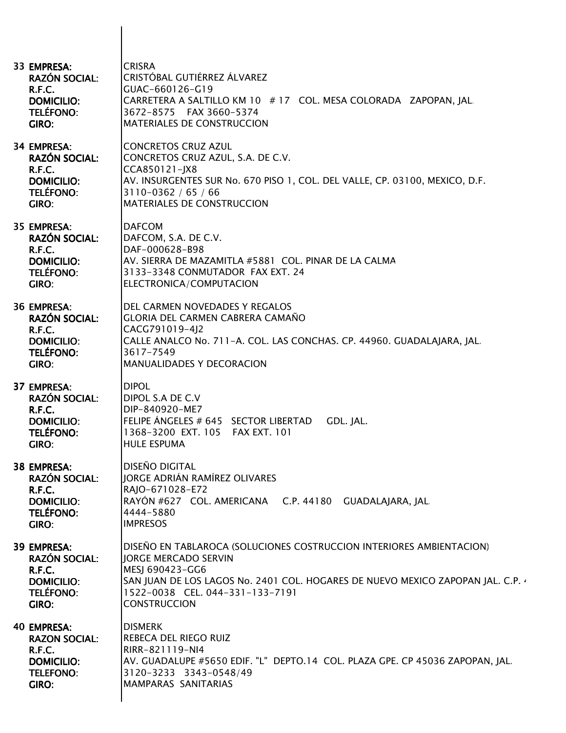| 33 EMPRESA:<br><b>RAZÓN SOCIAL:</b><br>R.F.C.<br><b>DOMICILIO:</b><br><b>TELÉFONO:</b><br>GIRO:               | <b>CRISRA</b><br>CRISTÓBAL GUTIÉRREZ ÁLVAREZ<br>GUAC-660126-G19<br>CARRETERA A SALTILLO KM 10 # 17 COL. MESA COLORADA ZAPOPAN, JAL.<br>3672-8575 FAX 3660-5374<br><b>MATERIALES DE CONSTRUCCION</b>                                                                 |
|---------------------------------------------------------------------------------------------------------------|---------------------------------------------------------------------------------------------------------------------------------------------------------------------------------------------------------------------------------------------------------------------|
| <b>34 EMPRESA:</b><br><b>RAZÓN SOCIAL:</b><br>R.F.C.<br><b>DOMICILIO:</b><br><b>TELÉFONO:</b><br><b>GIRO:</b> | <b>CONCRETOS CRUZ AZUL</b><br>CONCRETOS CRUZ AZUL, S.A. DE C.V.<br>CCA850121-JX8<br>AV. INSURGENTES SUR No. 670 PISO 1, COL. DEL VALLE, CP. 03100, MEXICO, D.F.<br>3110-0362 / 65 / 66<br><b>MATERIALES DE CONSTRUCCION</b>                                         |
| 35 EMPRESA:<br><b>RAZÓN SOCIAL:</b><br>R.F.C.<br><b>DOMICILIO:</b><br><b>TELÉFONO:</b><br>GIRO:               | <b>DAFCOM</b><br>DAFCOM, S.A. DE C.V.<br>DAF-000628-B98<br>AV. SIERRA DE MAZAMITLA #5881 COL. PINAR DE LA CALMA<br>3133-3348 CONMUTADOR FAX EXT. 24<br>ELECTRONICA/COMPUTACION                                                                                      |
| <b>36 EMPRESA:</b><br><b>RAZÓN SOCIAL:</b><br>R.F.C.<br><b>DOMICILIO:</b><br><b>TELÉFONO:</b><br>GIRO:        | DEL CARMEN NOVEDADES Y REGALOS<br><b>GLORIA DEL CARMEN CABRERA CAMAÑO</b><br>CACG791019-4J2<br>CALLE ANALCO No. 711-A. COL. LAS CONCHAS. CP. 44960. GUADALAJARA, JAL.<br>3617-7549<br><b>MANUALIDADES Y DECORACION</b>                                              |
| 37 EMPRESA:<br><b>RAZÓN SOCIAL:</b><br>R.F.C.<br><b>DOMICILIO:</b><br><b>TELÉFONO:</b><br>GIRO:               | <b>DIPOL</b><br>DIPOL S.A DE C.V<br>DIP-840920-ME7<br>FELIPE ÁNGELES # 645 SECTOR LIBERTAD<br>GDL. JAL.<br>1368-3200 EXT. 105 FAX EXT. 101<br><b>HULE ESPUMA</b>                                                                                                    |
| 38 EMPRESA:<br><b>RAZÓN SOCIAL:</b><br>R.F.C.<br><b>DOMICILIO:</b><br><b>TELÉFONO:</b><br>GIRO:               | <b>DISEÑO DIGITAL</b><br><b>JORGE ADRIÁN RAMÍREZ OLIVARES</b><br>RAJO-671028-E72<br>RAYÓN #627 COL. AMERICANA C.P. 44180 GUADALAJARA, JAL.<br>4444-5880<br><b>IMPRESOS</b>                                                                                          |
| 39 EMPRESA:<br><b>RAZÓN SOCIAL:</b><br>R.F.C.<br><b>DOMICILIO:</b><br><b>TELÉFONO:</b><br>GIRO:               | DISEÑO EN TABLAROCA (SOLUCIONES COSTRUCCION INTERIORES AMBIENTACION)<br><b>JORGE MERCADO SERVIN</b><br>MESJ 690423-GG6<br>SAN JUAN DE LOS LAGOS No. 2401 COL. HOGARES DE NUEVO MEXICO ZAPOPAN JAL. C.P. 4<br>1522-0038 CEL. 044-331-133-7191<br><b>CONSTRUCCION</b> |
| <b>40 EMPRESA:</b><br><b>RAZON SOCIAL:</b><br>R.F.C.<br><b>DOMICILIO:</b><br><b>TELEFONO:</b><br>GIRO:        | <b>DISMERK</b><br><b>REBECA DEL RIEGO RUIZ</b><br>RIRR-821119-NI4<br>AV. GUADALUPE #5650 EDIF. "L" DEPTO.14 COL. PLAZA GPE. CP 45036 ZAPOPAN, JAL.<br>3120-3233 3343-0548/49<br>MAMPARAS SANITARIAS                                                                 |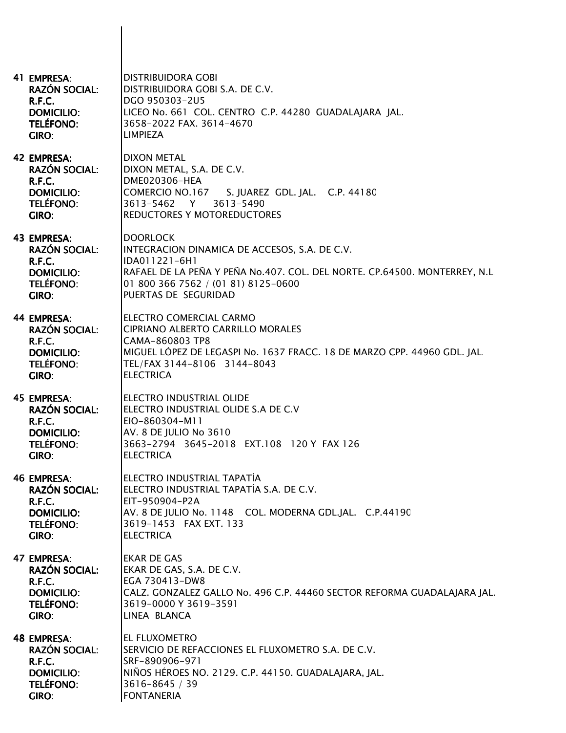| 41 EMPRESA:<br><b>RAZÓN SOCIAL:</b><br>R.F.C.<br><b>DOMICILIO:</b><br>TELÉFONO:<br>GIRO:                      | <b>DISTRIBUIDORA GOBI</b><br>DISTRIBUIDORA GOBI S.A. DE C.V.<br>DGO 950303-2U5<br>LICEO No. 661 COL. CENTRO C.P. 44280 GUADALAJARA JAL.<br>3658-2022 FAX. 3614-4670<br><b>LIMPIEZA</b>                                         |
|---------------------------------------------------------------------------------------------------------------|--------------------------------------------------------------------------------------------------------------------------------------------------------------------------------------------------------------------------------|
| 42 EMPRESA:<br><b>RAZÓN SOCIAL:</b><br>R.F.C.<br><b>DOMICILIO:</b><br><b>TELÉFONO:</b><br>GIRO:               | <b>DIXON METAL</b><br>DIXON METAL, S.A. DE C.V.<br>DME020306-HEA<br>COMERCIO NO.167<br>S. JUAREZ GDL. JAL. C.P. 44180<br>3613-5462 Y<br>3613-5490<br>REDUCTORES Y MOTOREDUCTORES                                               |
| 43 EMPRESA:<br><b>RAZÓN SOCIAL:</b><br>R.F.C.<br><b>DOMICILIO:</b><br><b>TELÉFONO:</b><br>GIRO:               | <b>DOORLOCK</b><br>INTEGRACION DINAMICA DE ACCESOS, S.A. DE C.V.<br>IDA011221-6H1<br>RAFAEL DE LA PEÑA Y PEÑA No.407. COL. DEL NORTE. CP.64500. MONTERREY, N.L.<br>01 800 366 7562 / (01 81) 8125-0600<br>PUERTAS DE SEGURIDAD |
| <b>44 EMPRESA:</b><br><b>RAZÓN SOCIAL:</b><br><b>R.F.C.</b><br><b>DOMICILIO:</b><br><b>TELÉFONO:</b><br>GIRO: | <b>ELECTRO COMERCIAL CARMO</b><br><b>CIPRIANO ALBERTO CARRILLO MORALES</b><br>CAMA-860803 TP8<br>MIGUEL LÓPEZ DE LEGASPI No. 1637 FRACC. 18 DE MARZO CPP. 44960 GDL. JAL.<br>TEL/FAX 3144-8106 3144-8043<br><b>ELECTRICA</b>   |
| 45 EMPRESA:<br><b>RAZÓN SOCIAL:</b><br>R.F.C.<br><b>DOMICILIO:</b><br><b>TELÉFONO:</b><br>GIRO:               | ELECTRO INDUSTRIAL OLIDE<br>ELECTRO INDUSTRIAL OLIDE S.A DE C.V<br>EIO-860304-M11<br>AV. 8 DE JULIO No 3610<br>3663-2794 3645-2018 EXT.108 120 Y FAX 126<br><b>ELECTRICA</b>                                                   |
| <b>46 EMPRESA:</b><br><b>RAZÓN SOCIAL:</b><br>R.F.C.<br><b>DOMICILIO:</b><br><b>TELÉFONO:</b><br>GIRO:        | ELECTRO INDUSTRIAL TAPATÍA<br>ELECTRO INDUSTRIAL TAPATÍA S.A. DE C.V.<br>EIT-950904-P2A<br>AV. 8 DE JULIO No. 1148 COL. MODERNA GDL.JAL. C.P.44190<br>3619-1453 FAX EXT. 133<br><b>ELECTRICA</b>                               |
| <b>47 EMPRESA:</b><br><b>RAZÓN SOCIAL:</b><br>R.F.C.<br><b>DOMICILIO:</b><br><b>TELÉFONO:</b><br>GIRO:        | <b>EKAR DE GAS</b><br>EKAR DE GAS, S.A. DE C.V.<br>EGA 730413-DW8<br>CALZ. GONZALEZ GALLO No. 496 C.P. 44460 SECTOR REFORMA GUADALAJARA JAL.<br>3619-0000 Y 3619-3591<br>LINEA BLANCA                                          |
| <b>48 EMPRESA:</b><br><b>RAZÓN SOCIAL:</b><br>R.F.C.<br><b>DOMICILIO:</b><br><b>TELÉFONO:</b><br>GIRO:        | EL FLUXOMETRO<br>SERVICIO DE REFACCIONES EL FLUXOMETRO S.A. DE C.V.<br>SRF-890906-971<br>NIÑOS HÉROES NO. 2129. C.P. 44150. GUADALAJARA, JAL.<br>3616-8645 / 39<br><b>FONTANERIA</b>                                           |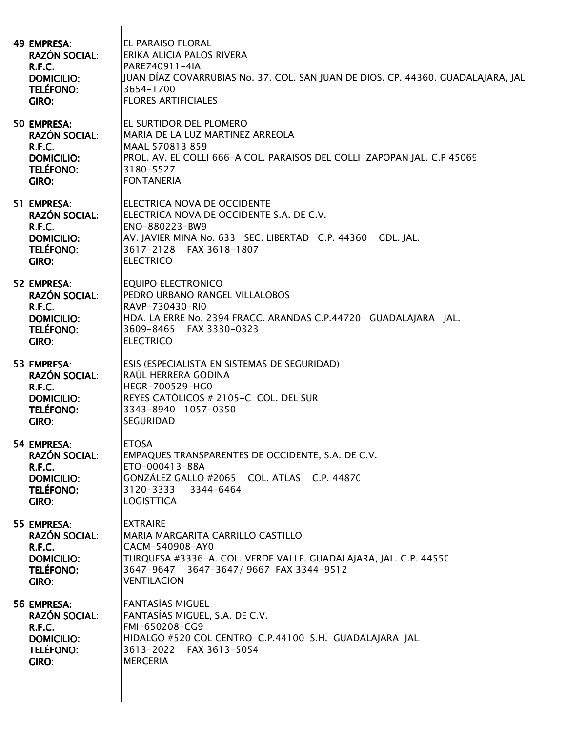| <b>49 EMPRESA:</b><br><b>RAZÓN SOCIAL:</b><br>R.F.C.<br><b>DOMICILIO:</b><br>TELÉFONO:<br>GIRO:        | <b>EL PARAISO FLORAL</b><br><b>ERIKA ALICIA PALOS RIVERA</b><br>PARE740911-4IA<br>JJUAN DÍAZ COVARRUBIAS No. 37. COL. SAN JUAN DE DIOS. CP. 44360. GUADALAJARA, JAL<br>3654-1700<br><b>FLORES ARTIFICIALES</b> |
|--------------------------------------------------------------------------------------------------------|----------------------------------------------------------------------------------------------------------------------------------------------------------------------------------------------------------------|
| 50 EMPRESA:<br><b>RAZÓN SOCIAL:</b><br>R.F.C.<br><b>DOMICILIO:</b><br><b>TELÉFONO:</b><br>GIRO:        | IEL SURTIDOR DEL PLOMERO<br>MARIA DE LA LUZ MARTINEZ ARREOLA<br>MAAL 570813 859<br>PROL. AV. EL COLLI 666-A COL. PARAISOS DEL COLLI ZAPOPAN JAL. C.P 45069<br>3180-5527<br><b>FONTANERIA</b>                   |
| 51 EMPRESA:<br><b>RAZÓN SOCIAL:</b><br>R.F.C.<br><b>DOMICILIO:</b><br><b>TELÉFONO:</b><br>GIRO:        | ELECTRICA NOVA DE OCCIDENTE<br>ELECTRICA NOVA DE OCCIDENTE S.A. DE C.V.<br>ENO-880223-BW9<br>AV. JAVIER MINA No. 633 SEC. LIBERTAD C.P. 44360 GDL. JAL.<br>3617-2128 FAX 3618-1807<br><b>ELECTRICO</b>         |
| 52 EMPRESA:<br><b>RAZÓN SOCIAL:</b><br>R.F.C.<br><b>DOMICILIO:</b><br><b>TELÉFONO:</b><br>GIRO:        | <b>EQUIPO ELECTRONICO</b><br><b>PEDRO URBANO RANGEL VILLALOBOS</b><br>RAVP-730430-RIO<br>HDA. LA ERRE No. 2394 FRACC. ARANDAS C.P.44720 GUADALAJARA JAL.<br>3609-8465 FAX 3330-0323<br><b>ELECTRICO</b>        |
| 53 EMPRESA:<br><b>RAZÓN SOCIAL:</b><br>R.F.C.<br><b>DOMICILIO:</b><br><b>TELÉFONO:</b><br>GIRO:        | ESIS (ESPECIALISTA EN SISTEMAS DE SEGURIDAD)<br>RAÚL HERRERA GODINA<br><b>HEGR-700529-HG0</b><br>REYES CATÓLICOS # 2105-C COL. DEL SUR<br>3343-8940 1057-0350<br><b>SEGURIDAD</b>                              |
| 54 EMPRESA:<br><b>RAZÓN SOCIAL:</b><br>R.F.C.<br><b>DOMICILIO:</b><br><b>TELÉFONO:</b><br>GIRO:        | <b>ETOSA</b><br>EMPAQUES TRANSPARENTES DE OCCIDENTE, S.A. DE C.V.<br>ETO-000413-88A<br>GONZÁLEZ GALLO #2065 COL. ATLAS C.P. 44870<br>3120-3333 3344-6464<br><b>LOGISTTICA</b>                                  |
| 55 EMPRESA:<br><b>RAZÓN SOCIAL:</b><br>R.F.C.<br><b>DOMICILIO:</b><br><b>TELÉFONO:</b><br><b>GIRO:</b> | <b>EXTRAIRE</b><br>MARIA MARGARITA CARRILLO CASTILLO<br>CACM-540908-AY0<br>TURQUESA #3336-A. COL. VERDE VALLE. GUADALAJARA, JAL. C.P. 44550<br>3647-9647 3647-3647/9667 FAX 3344-9512<br><b>VENTILACION</b>    |
| 56 EMPRESA:<br><b>RAZÓN SOCIAL:</b><br>R.F.C.<br><b>DOMICILIO:</b><br><b>TELÉFONO:</b><br>GIRO:        | FANTASÍAS MIGUEL<br>FANTASÍAS MIGUEL, S.A. DE C.V.<br>FMI-650208-CG9<br>HIDALGO #520 COL CENTRO C.P.44100 S.H. GUADALAJARA JAL.<br>3613-2022 FAX 3613-5054<br><b>MERCERIA</b>                                  |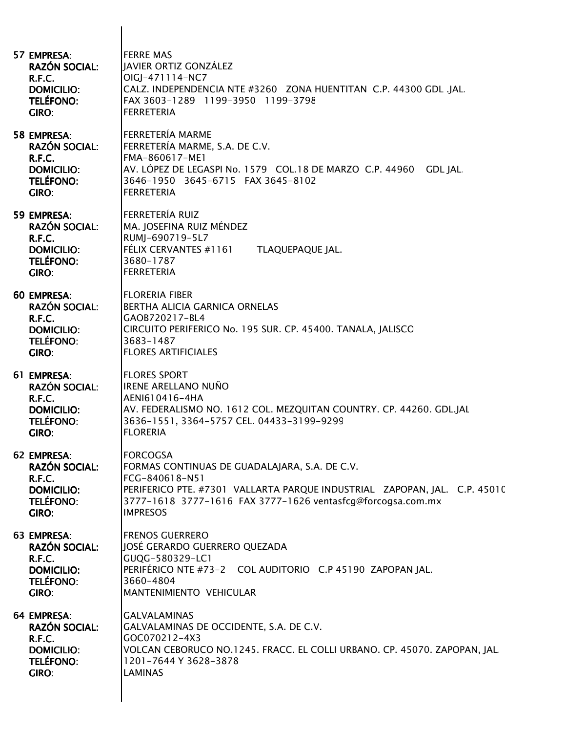| 57 EMPRESA:                                                                                            | <b>FERRE MAS</b>                                                                                                                                                                                              |
|--------------------------------------------------------------------------------------------------------|---------------------------------------------------------------------------------------------------------------------------------------------------------------------------------------------------------------|
| <b>RAZÓN SOCIAL:</b>                                                                                   | JAVIER ORTIZ GONZÁLEZ                                                                                                                                                                                         |
| R.F.C.                                                                                                 | OIGJ-471114-NC7                                                                                                                                                                                               |
| <b>DOMICILIO:</b>                                                                                      | CALZ. INDEPENDENCIA NTE #3260 ZONA HUENTITAN C.P. 44300 GDL .JAL.                                                                                                                                             |
| <b>TELÉFONO:</b>                                                                                       | FAX 3603-1289 1199-3950 1199-3798                                                                                                                                                                             |
| GIRO:                                                                                                  | <b>FERRETERIA</b>                                                                                                                                                                                             |
| <b>58 EMPRESA:</b><br><b>RAZÓN SOCIAL:</b><br>R.F.C.<br><b>DOMICILIO:</b><br>TELÉFONO:<br><b>GIRO:</b> | <b>FERRETERÍA MARME</b><br>FERRETERÍA MARME, S.A. DE C.V.<br>FMA-860617-ME1<br>AV. LÓPEZ DE LEGASPI No. 1579 COL.18 DE MARZO C.P. 44960<br>GDL JAL.<br>3646-1950 3645-6715 FAX 3645-8102<br><b>FERRETERIA</b> |
| 59 EMPRESA:<br><b>RAZÓN SOCIAL:</b><br>R.F.C.<br><b>DOMICILIO:</b><br>TELÉFONO:<br><b>GIRO:</b>        | FERRETERÍA RUIZ<br>MA. JOSEFINA RUIZ MÉNDEZ<br>RUMJ-690719-5L7<br>FÉLIX CERVANTES #1161<br>TLAQUEPAQUE JAL.<br>3680-1787<br><b>FERRETERIA</b>                                                                 |
| <b>60 EMPRESA:</b>                                                                                     | <b>FLORERIA FIBER</b>                                                                                                                                                                                         |
| <b>RAZÓN SOCIAL:</b>                                                                                   | <b>BERTHA ALICIA GARNICA ORNELAS</b>                                                                                                                                                                          |
| R.F.C.                                                                                                 | GAOB720217-BL4                                                                                                                                                                                                |
| <b>DOMICILIO:</b>                                                                                      | CIRCUITO PERIFERICO No. 195 SUR. CP. 45400. TANALA, JALISCO                                                                                                                                                   |
| <b>TELÉFONO:</b>                                                                                       | 3683-1487                                                                                                                                                                                                     |
| GIRO:                                                                                                  | <b>FLORES ARTIFICIALES</b>                                                                                                                                                                                    |
| 61 EMPRESA:                                                                                            | <b>FLORES SPORT</b>                                                                                                                                                                                           |
| <b>RAZÓN SOCIAL:</b>                                                                                   | <b>IRENE ARELLANO NUÑO</b>                                                                                                                                                                                    |
| R.F.C.                                                                                                 | AENI610416-4HA                                                                                                                                                                                                |
| <b>DOMICILIO:</b>                                                                                      | AV. FEDERALISMO NO. 1612 COL. MEZQUITAN COUNTRY. CP. 44260. GDL.JAL                                                                                                                                           |
| <b>TELÉFONO:</b>                                                                                       | 3636-1551, 3364-5757 CEL. 04433-3199-9299                                                                                                                                                                     |
| GIRO:                                                                                                  | <b>FLORERIA</b>                                                                                                                                                                                               |
| 62 EMPRESA:                                                                                            | <b>FORCOGSA</b>                                                                                                                                                                                               |
| <b>RAZÓN SOCIAL:</b>                                                                                   | FORMAS CONTINUAS DE GUADALAJARA, S.A. DE C.V.                                                                                                                                                                 |
| R.F.C.                                                                                                 | FCG-840618-N51                                                                                                                                                                                                |
| <b>DOMICILIO:</b>                                                                                      | PERIFERICO PTE. #7301 VALLARTA PARQUE INDUSTRIAL ZAPOPAN, JAL. C.P. 45010                                                                                                                                     |
| <b>TELÉFONO:</b>                                                                                       | 3777-1618 3777-1616 FAX 3777-1626 ventasfcg@forcogsa.com.mx                                                                                                                                                   |
| GIRO:                                                                                                  | <b>IMPRESOS</b>                                                                                                                                                                                               |
| 63 EMPRESA:                                                                                            | <b>FRENOS GUERRERO</b>                                                                                                                                                                                        |
| <b>RAZÓN SOCIAL:</b>                                                                                   | JOSÉ GERARDO GUERRERO QUEZADA                                                                                                                                                                                 |
| R.F.C.                                                                                                 | GUQG-580329-LC1                                                                                                                                                                                               |
| <b>DOMICILIO:</b>                                                                                      | PERIFÉRICO NTE #73-2 COL AUDITORIO C.P 45190 ZAPOPAN JAL.                                                                                                                                                     |
| <b>TELÉFONO:</b>                                                                                       | 3660-4804                                                                                                                                                                                                     |
| GIRO:                                                                                                  | MANTENIMIENTO VEHICULAR                                                                                                                                                                                       |
| 64 EMPRESA:                                                                                            | <b>GALVALAMINAS</b>                                                                                                                                                                                           |
| <b>RAZÓN SOCIAL:</b>                                                                                   | GALVALAMINAS DE OCCIDENTE, S.A. DE C.V.                                                                                                                                                                       |
| R.F.C.                                                                                                 | GOC070212-4X3                                                                                                                                                                                                 |
| <b>DOMICILIO:</b>                                                                                      | VOLCAN CEBORUCO NO.1245. FRACC. EL COLLI URBANO. CP. 45070. ZAPOPAN, JAL                                                                                                                                      |
| <b>TELÉFONO:</b>                                                                                       | 1201-7644 Y 3628-3878                                                                                                                                                                                         |
| GIRO:                                                                                                  | <b>LAMINAS</b>                                                                                                                                                                                                |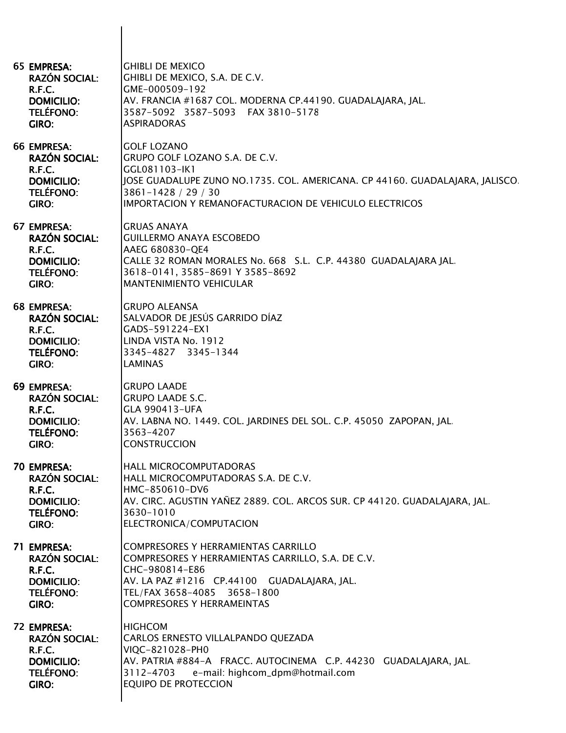| 65 EMPRESA:<br><b>RAZÓN SOCIAL:</b><br>R.F.C.<br><b>DOMICILIO:</b><br><b>TELÉFONO:</b><br>GIRO:               | <b>GHIBLI DE MEXICO</b><br>GHIBLI DE MEXICO, S.A. DE C.V.<br>GME-000509-192<br>AV. FRANCIA #1687 COL. MODERNA CP.44190. GUADALAJARA, JAL.<br>3587-5092 3587-5093 FAX 3810-5178<br><b>ASPIRADORAS</b>                                   |
|---------------------------------------------------------------------------------------------------------------|----------------------------------------------------------------------------------------------------------------------------------------------------------------------------------------------------------------------------------------|
| 66 EMPRESA:<br><b>RAZÓN SOCIAL:</b><br>R.F.C.<br><b>DOMICILIO:</b><br><b>TELÉFONO:</b><br>GIRO:               | <b>GOLF LOZANO</b><br>GRUPO GOLF LOZANO S.A. DE C.V.<br>GGL081103-IK1<br>JOSE GUADALUPE ZUNO NO.1735. COL. AMERICANA. CP 44160. GUADALAJARA, JALISCO.<br>3861-1428 / 29 / 30<br>IMPORTACION Y REMANOFACTURACION DE VEHICULO ELECTRICOS |
| 67 EMPRESA:<br><b>RAZÓN SOCIAL:</b><br><b>R.F.C.</b><br><b>DOMICILIO:</b><br><b>TELÉFONO:</b><br><b>GIRO:</b> | <b>GRUAS ANAYA</b><br><b>GUILLERMO ANAYA ESCOBEDO</b><br>AAEG 680830-QE4<br>CALLE 32 ROMAN MORALES No. 668 S.L. C.P. 44380 GUADALAJARA JAL.<br>3618-0141, 3585-8691 Y 3585-8692<br><b>MANTENIMIENTO VEHICULAR</b>                      |
| 68 EMPRESA:<br><b>RAZÓN SOCIAL:</b><br>R.F.C.<br><b>DOMICILIO:</b><br><b>TELÉFONO:</b><br>GIRO:               | <b>GRUPO ALEANSA</b><br>SALVADOR DE JESÚS GARRIDO DÍAZ<br>GADS-591224-EX1<br>LINDA VISTA No. 1912<br>3345-4827 3345-1344<br><b>LAMINAS</b>                                                                                             |
| 69 EMPRESA:<br><b>RAZÓN SOCIAL:</b><br>R.F.C.<br><b>DOMICILIO:</b><br><b>TELÉFONO:</b><br>GIRO:               | <b>GRUPO LAADE</b><br><b>GRUPO LAADE S.C.</b><br>GLA 990413-UFA<br>AV. LABNA NO. 1449. COL. JARDINES DEL SOL. C.P. 45050 ZAPOPAN, JAL.<br>3563-4207<br><b>CONSTRUCCION</b>                                                             |
| 70 EMPRESA:<br><b>RAZÓN SOCIAL:</b><br>R.F.C.<br><b>DOMICILIO:</b><br><b>TELÉFONO:</b><br>GIRO:               | HALL MICROCOMPUTADORAS<br>HALL MICROCOMPUTADORAS S.A. DE C.V.<br>HMC-850610-DV6<br>AV. CIRC. AGUSTIN YAÑEZ 2889. COL. ARCOS SUR. CP 44120. GUADALAJARA, JAL.<br>3630-1010<br>ELECTRONICA/COMPUTACION                                   |
| 71 EMPRESA:<br><b>RAZÓN SOCIAL:</b><br>R.F.C.<br><b>DOMICILIO:</b><br><b>TELÉFONO:</b><br>GIRO:               | <b>COMPRESORES Y HERRAMIENTAS CARRILLO</b><br>COMPRESORES Y HERRAMIENTAS CARRILLO, S.A. DE C.V.<br>CHC-980814-E86<br>AV. LA PAZ #1216 CP.44100 GUADALAJARA, JAL.<br>TEL/FAX 3658-4085 3658-1800<br><b>COMPRESORES Y HERRAMEINTAS</b>   |
| 72 EMPRESA:<br><b>RAZÓN SOCIAL:</b><br>R.F.C.<br><b>DOMICILIO:</b><br><b>TELÉFONO:</b><br><b>GIRO:</b>        | <b>HIGHCOM</b><br>CARLOS ERNESTO VILLALPANDO QUEZADA<br>VIQC-821028-PH0<br>AV. PATRIA #884-A FRACC. AUTOCINEMA C.P. 44230 GUADALAJARA, JAL.<br>3112-4703<br>e-mail: highcom_dpm@hotmail.com<br>EQUIPO DE PROTECCION                    |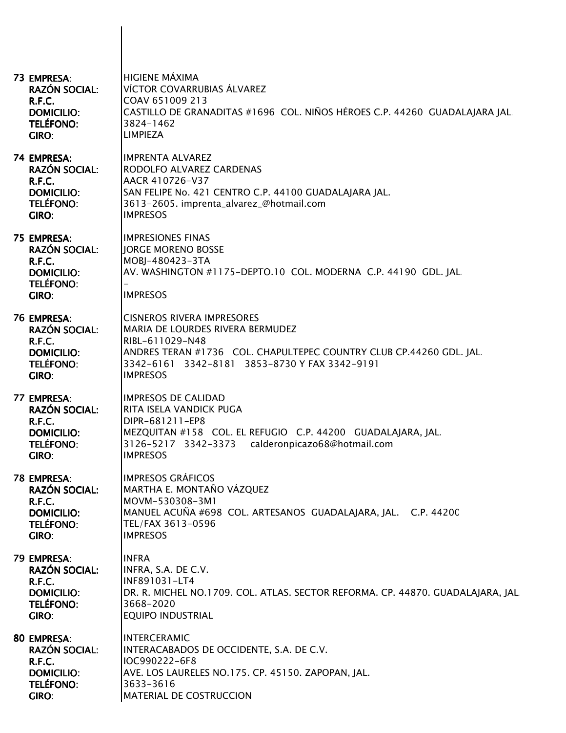| 73 EMPRESA:<br><b>RAZÓN SOCIAL:</b><br>R.F.C.<br><b>DOMICILIO:</b><br><b>TELÉFONO:</b><br>GIRO:        | <b>HIGIENE MÁXIMA</b><br>VÍCTOR COVARRUBIAS ÁLVAREZ<br>COAV 651009 213<br>CASTILLO DE GRANADITAS #1696 COL. NIÑOS HÉROES C.P. 44260 GUADALAJARA JAL.<br>3824-1462<br><b>LIMPIEZA</b>                                                |
|--------------------------------------------------------------------------------------------------------|-------------------------------------------------------------------------------------------------------------------------------------------------------------------------------------------------------------------------------------|
| 74 EMPRESA:<br><b>RAZÓN SOCIAL:</b><br>R.F.C.<br><b>DOMICILIO:</b><br><b>TELÉFONO:</b><br>GIRO:        | <b>IMPRENTA ALVAREZ</b><br>RODOLFO ALVAREZ CARDENAS<br>AACR 410726-V37<br>SAN FELIPE No. 421 CENTRO C.P. 44100 GUADALAJARA JAL.<br>3613-2605. imprenta_alvarez_@hotmail.com<br><b>IMPRESOS</b>                                      |
| 75 EMPRESA:<br><b>RAZÓN SOCIAL:</b><br>R.F.C.<br><b>DOMICILIO:</b><br><b>TELÉFONO:</b><br>GIRO:        | <b>IMPRESIONES FINAS</b><br>JORGE MORENO BOSSE<br>MOBJ-480423-3TA<br>AV. WASHINGTON #1175-DEPTO.10 COL. MODERNA C.P. 44190 GDL. JAL.<br><b>IMPRESOS</b>                                                                             |
| 76 EMPRESA:<br><b>RAZÓN SOCIAL:</b><br>R.F.C.<br><b>DOMICILIO:</b><br><b>TELÉFONO:</b><br>GIRO:        | <b>CISNEROS RIVERA IMPRESORES</b><br>MARIA DE LOURDES RIVERA BERMUDEZ<br>RIBL-611029-N48<br>ANDRES TERAN #1736 COL. CHAPULTEPEC COUNTRY CLUB CP.44260 GDL. JAL.<br>3342-6161 3342-8181 3853-8730 Y FAX 3342-9191<br><b>IMPRESOS</b> |
| 77 EMPRESA:<br><b>RAZÓN SOCIAL:</b><br>R.F.C.<br><b>DOMICILIO:</b><br><b>TELÉFONO:</b><br>GIRO:        | <b>IMPRESOS DE CALIDAD</b><br>RITA ISELA VANDICK PUGA<br>DIPR-681211-EP8<br>MEZQUITAN #158 COL. EL REFUGIO C.P. 44200 GUADALAJARA, JAL.<br>3126-5217 3342-3373 calderonpicazo68@hotmail.com<br><b>IMPRESOS</b>                      |
| 78 EMPRESA:<br><b>RAZÓN SOCIAL:</b><br>R.F.C.<br><b>DOMICILIO:</b><br><b>TELÉFONO:</b><br><b>GIRO:</b> | <b>IMPRESOS GRÁFICOS</b><br>MARTHA E. MONTAÑO VÁZQUEZ<br>MOVM-530308-3M1<br>MANUEL ACUÑA #698 COL. ARTESANOS GUADALAJARA, JAL. C.P. 44200<br>TEL/FAX 3613-0596<br><b>IMPRESOS</b>                                                   |
| 79 EMPRESA:<br><b>RAZÓN SOCIAL:</b><br>R.F.C.<br><b>DOMICILIO:</b><br><b>TELÉFONO:</b><br>GIRO:        | <b>INFRA</b><br>INFRA, S.A. DE C.V.<br>INF891031-LT4<br>DR. R. MICHEL NO.1709. COL. ATLAS. SECTOR REFORMA. CP. 44870. GUADALAJARA, JAL<br>3668-2020<br><b>EQUIPO INDUSTRIAL</b>                                                     |
| 80 EMPRESA:<br><b>RAZÓN SOCIAL:</b><br>R.F.C.<br><b>DOMICILIO:</b><br><b>TELÉFONO:</b><br>GIRO:        | <b>INTERCERAMIC</b><br>INTERACABADOS DE OCCIDENTE, S.A. DE C.V.<br>IOC990222-6F8<br>AVE. LOS LAURELES NO.175. CP. 45150. ZAPOPAN, JAL.<br>3633-3616<br>MATERIAL DE COSTRUCCION                                                      |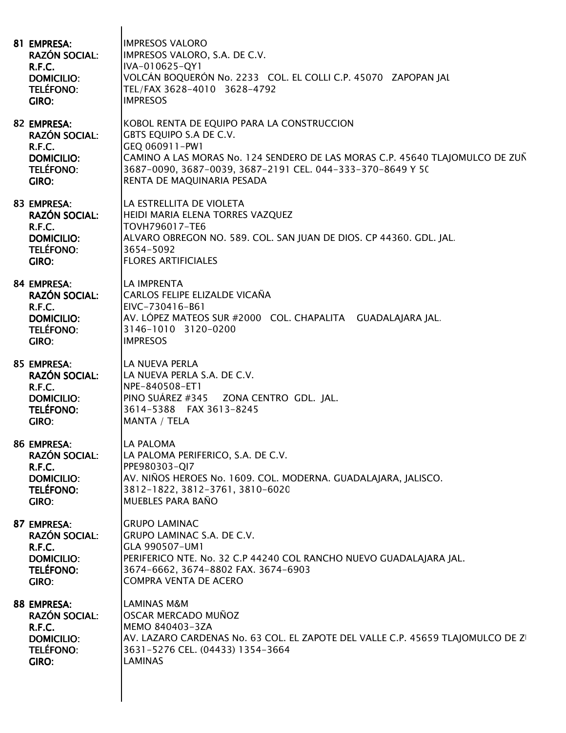| 81 EMPRESA:<br><b>RAZÓN SOCIAL:</b><br>R.F.C.<br><b>DOMICILIO:</b><br><b>TELÉFONO:</b><br>GIRO: | <b>IMPRESOS VALORO</b><br>IMPRESOS VALORO, S.A. DE C.V.<br>IVA-010625-QY1<br>VOLCÁN BOQUERÓN No. 2233 COL. EL COLLI C.P. 45070 ZAPOPAN JAL<br>TEL/FAX 3628-4010 3628-4792<br><b>IMPRESOS</b>                                                                        |
|-------------------------------------------------------------------------------------------------|---------------------------------------------------------------------------------------------------------------------------------------------------------------------------------------------------------------------------------------------------------------------|
| 82 EMPRESA:<br><b>RAZÓN SOCIAL:</b><br>R.F.C.<br><b>DOMICILIO:</b><br><b>TELÉFONO:</b><br>GIRO: | KOBOL RENTA DE EQUIPO PARA LA CONSTRUCCION<br>GBTS EQUIPO S.A DE C.V.<br>GEQ 060911-PW1<br>CAMINO A LAS MORAS No. 124 SENDERO DE LAS MORAS C.P. 45640 TLAJOMULCO DE ZUÑ<br>3687-0090, 3687-0039, 3687-2191 CEL. 044-333-370-8649 Y 50<br>RENTA DE MAQUINARIA PESADA |
| 83 EMPRESA:<br><b>RAZÓN SOCIAL:</b><br>R.F.C.<br><b>DOMICILIO:</b><br><b>TELÉFONO:</b><br>GIRO: | LA ESTRELLITA DE VIOLETA<br>HEIDI MARIA ELENA TORRES VAZQUEZ<br>TOVH796017-TE6<br>ALVARO OBREGON NO. 589. COL. SAN JUAN DE DIOS. CP 44360. GDL. JAL.<br>3654-5092<br><b>FLORES ARTIFICIALES</b>                                                                     |
| 84 EMPRESA:<br><b>RAZÓN SOCIAL:</b><br>R.F.C.<br><b>DOMICILIO:</b><br><b>TELÉFONO:</b><br>GIRO: | LA IMPRENTA<br>CARLOS FELIPE ELIZALDE VICAÑA<br>EIVC-730416-B61<br>AV. LÓPEZ MATEOS SUR #2000 COL. CHAPALITA GUADALAJARA JAL.<br>3146-1010 3120-0200<br><b>IMPRESOS</b>                                                                                             |
| 85 EMPRESA:<br><b>RAZÓN SOCIAL:</b><br>R.F.C.<br><b>DOMICILIO:</b><br><b>TELÉFONO:</b><br>GIRO: | LA NUEVA PERLA<br>LA NUEVA PERLA S.A. DE C.V.<br>NPE-840508-ET1<br>PINO SUÁREZ #345 ZONA CENTRO GDL. JAL.<br>3614-5388 FAX 3613-8245<br>MANTA / TELA                                                                                                                |
| 86 EMPRESA:<br><b>RAZÓN SOCIAL:</b><br>R.F.C.<br><b>DOMICILIO:</b><br><b>TELÉFONO:</b><br>GIRO: | LA PALOMA<br>LA PALOMA PERIFERICO, S.A. DE C.V.<br>PPE980303-QI7<br>AV. NIÑOS HEROES No. 1609. COL. MODERNA. GUADALAJARA, JALISCO.<br>3812-1822, 3812-3761, 3810-6020<br>MUEBLES PARA BAÑO                                                                          |
| 87 EMPRESA:<br><b>RAZÓN SOCIAL:</b><br>R.F.C.<br><b>DOMICILIO:</b><br><b>TELÉFONO:</b><br>GIRO: | <b>GRUPO LAMINAC</b><br>GRUPO LAMINAC S.A. DE C.V.<br>GLA 990507-UM1<br>PERIFERICO NTE. No. 32 C.P 44240 COL RANCHO NUEVO GUADALAJARA JAL.<br>3674-6662, 3674-8802 FAX. 3674-6903<br><b>COMPRA VENTA DE ACERO</b>                                                   |
| 88 EMPRESA:<br><b>RAZÓN SOCIAL:</b><br>R.F.C.<br><b>DOMICILIO:</b><br><b>TELÉFONO:</b><br>GIRO: | <b>LAMINAS M&amp;M</b><br>OSCAR MERCADO MUÑOZ<br>MEMO 840403-3ZA<br>AV. LAZARO CARDENAS No. 63 COL. EL ZAPOTE DEL VALLE C.P. 45659 TLAJOMULCO DE ZI<br>3631-5276 CEL. (04433) 1354-3664<br><b>LAMINAS</b>                                                           |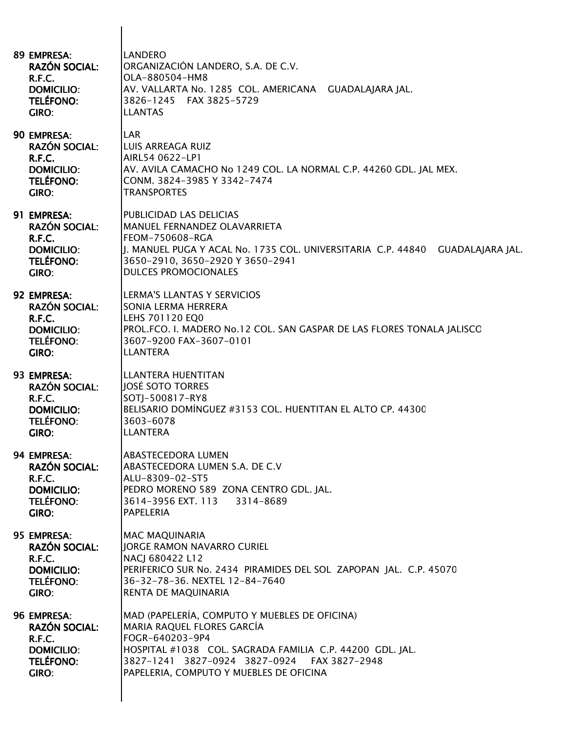| 89 EMPRESA:<br><b>RAZÓN SOCIAL:</b><br>R.F.C.<br><b>DOMICILIO:</b><br><b>TELÉFONO:</b><br>GIRO:        | <b>LANDERO</b><br>ORGANIZACIÓN LANDERO, S.A. DE C.V.<br>OLA-880504-HM8<br>AV. VALLARTA No. 1285 COL. AMERICANA GUADALAJARA JAL.<br>3826-1245 FAX 3825-5729<br><b>LLANTAS</b>                                                                         |
|--------------------------------------------------------------------------------------------------------|------------------------------------------------------------------------------------------------------------------------------------------------------------------------------------------------------------------------------------------------------|
| 90 EMPRESA:<br><b>RAZÓN SOCIAL:</b><br>R.F.C.<br><b>DOMICILIO:</b><br><b>TELÉFONO:</b><br>GIRO:        | <b>LAR</b><br>LUIS ARREAGA RUIZ<br>AIRL54 0622-LP1<br>AV. AVILA CAMACHO No 1249 COL. LA NORMAL C.P. 44260 GDL. JAL MEX.<br>CONM. 3824-3985 Y 3342-7474<br><b>TRANSPORTES</b>                                                                         |
| 91 EMPRESA:<br><b>RAZÓN SOCIAL:</b><br>R.F.C.<br><b>DOMICILIO:</b><br><b>TELÉFONO:</b><br>GIRO:        | PUBLICIDAD LAS DELICIAS<br><b>MANUEL FERNANDEZ OLAVARRIETA</b><br><b>FEOM-750608-RGA</b><br> J. MANUEL PUGA Y ACAL No. 1735 COL. UNIVERSITARIA  C.P. 44840    GUADALAJARA JAL.<br>3650-2910, 3650-2920 Y 3650-2941<br><b>DULCES PROMOCIONALES</b>    |
| 92 EMPRESA:<br><b>RAZÓN SOCIAL:</b><br>R.F.C.<br><b>DOMICILIO:</b><br><b>TELÉFONO:</b><br><b>GIRO:</b> | LERMA'S LLANTAS Y SERVICIOS<br>SONIA LERMA HERRERA<br>LEHS 701120 EQ0<br>PROL.FCO. I. MADERO No.12 COL. SAN GASPAR DE LAS FLORES TONALA JALISCO<br>3607-9200 FAX-3607-0101<br><b>LLANTERA</b>                                                        |
| 93 EMPRESA:<br><b>RAZÓN SOCIAL:</b><br>R.F.C.<br><b>DOMICILIO:</b><br><b>TELÉFONO:</b><br>GIRO:        | <b>LLANTERA HUENTITAN</b><br>JOSÉ SOTO TORRES<br>SOTJ-500817-RY8<br>BELISARIO DOMÍNGUEZ #3153 COL. HUENTITAN EL ALTO CP. 44300<br>3603-6078<br><b>LLANTERA</b>                                                                                       |
| 94 EMPRESA:<br><b>RAZÓN SOCIAL:</b><br>R.F.C.<br><b>DOMICILIO:</b><br><b>TELÉFONO:</b><br>GIRO:        | <b>ABASTECEDORA LUMEN</b><br>ABASTECEDORA LUMEN S.A. DE C.V<br>ALU-8309-02-ST5<br>PEDRO MORENO 589 ZONA CENTRO GDL. JAL.<br>3614-3956 EXT. 113 3314-8689<br><b>PAPELERIA</b>                                                                         |
| 95 EMPRESA:<br><b>RAZÓN SOCIAL:</b><br>R.F.C.<br><b>DOMICILIO:</b><br><b>TELÉFONO:</b><br><b>GIRO:</b> | <b>MAC MAQUINARIA</b><br><b>JORGE RAMON NAVARRO CURIEL</b><br>NACJ 680422 L12<br>PERIFERICO SUR No. 2434 PIRAMIDES DEL SOL ZAPOPAN JAL. C.P. 45070<br>36-32-78-36. NEXTEL 12-84-7640<br>RENTA DE MAQUINARIA                                          |
| 96 EMPRESA:<br><b>RAZÓN SOCIAL:</b><br>R.F.C.<br><b>DOMICILIO:</b><br><b>TELÉFONO:</b><br>GIRO:        | MAD (PAPELERÍA, COMPUTO Y MUEBLES DE OFICINA)<br>MARIA RAQUEL FLORES GARCÍA<br>FOGR-640203-9P4<br>HOSPITAL #1038 COL. SAGRADA FAMILIA C.P. 44200 GDL. JAL.<br>3827-1241 3827-0924 3827-0924 FAX 3827-2948<br>PAPELERIA, COMPUTO Y MUEBLES DE OFICINA |

 $\mathsf{l}$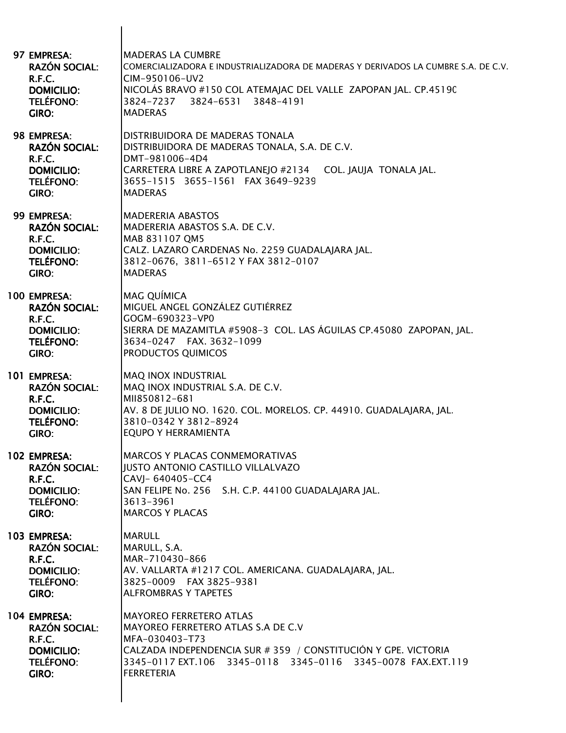| 97 EMPRESA:<br><b>RAZÓN SOCIAL:</b><br>R.F.C.<br><b>DOMICILIO:</b><br><b>TELÉFONO:</b><br>GIRO:               | IMADERAS LA CUMBRE<br>COMERCIALIZADORA E INDUSTRIALIZADORA DE MADERAS Y DERIVADOS LA CUMBRE S.A. DE C.V.<br>CIM-950106-UV2<br>NICOLÁS BRAVO #150 COL ATEMAJAC DEL VALLE ZAPOPAN JAL. CP.45190<br>3824-6531 3848-4191<br>3824-7237<br><b>MADERAS</b> |
|---------------------------------------------------------------------------------------------------------------|-----------------------------------------------------------------------------------------------------------------------------------------------------------------------------------------------------------------------------------------------------|
| 98 EMPRESA:<br><b>RAZÓN SOCIAL:</b><br>R.F.C.<br><b>DOMICILIO:</b><br><b>TELÉFONO:</b><br>GIRO:               | DISTRIBUIDORA DE MADERAS TONALA<br>DISTRIBUIDORA DE MADERAS TONALA, S.A. DE C.V.<br>DMT-981006-4D4<br>CARRETERA LIBRE A ZAPOTLANEJO #2134 COL. JAUJA TONALA JAL.<br>3655-1515 3655-1561 FAX 3649-9239<br><b>MADERAS</b>                             |
| 99 EMPRESA:<br><b>RAZÓN SOCIAL:</b><br><b>R.F.C.</b><br><b>DOMICILIO:</b><br><b>TELÉFONO:</b><br><b>GIRO:</b> | <b>IMADERERIA ABASTOS</b><br>MADERERIA ABASTOS S.A. DE C.V.<br>MAB 831107 QM5<br>CALZ. LAZARO CARDENAS No. 2259 GUADALAJARA JAL.<br>3812-0676, 3811-6512 Y FAX 3812-0107<br><b>MADERAS</b>                                                          |
| 100 EMPRESA:<br><b>RAZÓN SOCIAL:</b><br>R.F.C.<br><b>DOMICILIO:</b><br><b>TELÉFONO:</b><br>GIRO:              | <b>MAG QUÍMICA</b><br>MIGUEL ANGEL GONZÁLEZ GUTIÉRREZ<br>GOGM-690323-VP0<br>SIERRA DE MAZAMITLA #5908-3 COL. LAS ÁGUILAS CP.45080 ZAPOPAN, JAL.<br>3634-0247 FAX. 3632-1099<br><b>PRODUCTOS QUIMICOS</b>                                            |
| 101 EMPRESA:<br><b>RAZÓN SOCIAL:</b><br>R.F.C.<br><b>DOMICILIO:</b><br><b>TELÉFONO:</b><br>GIRO:              | <b>MAQ INOX INDUSTRIAL</b><br>MAQ INOX INDUSTRIAL S.A. DE C.V.<br>MII850812-681<br>AV. 8 DE JULIO NO. 1620. COL. MORELOS. CP. 44910. GUADALAJARA, JAL.<br>3810-0342 Y 3812-8924<br><b>EQUPO Y HERRAMIENTA</b>                                       |
| 102 EMPRESA:<br><b>RAZÓN SOCIAL:</b><br>R.F.C.<br><b>DOMICILIO:</b><br>TELÉFONO:<br>GIRO:                     | IMARCOS Y PLACAS CONMEMORATIVAS<br>JUSTO ANTONIO CASTILLO VILLALVAZO<br>CAVJ- 640405-CC4<br>SAN FELIPE No. 256 S.H. C.P. 44100 GUADALAJARA JAL.<br>3613-3961<br><b>MARCOS Y PLACAS</b>                                                              |
| 103 EMPRESA:<br><b>RAZÓN SOCIAL:</b><br>R.F.C.<br><b>DOMICILIO:</b><br><b>TELÉFONO:</b><br>GIRO:              | <b>MARULL</b><br>MARULL, S.A.<br>MAR-710430-866<br>AV. VALLARTA #1217 COL. AMERICANA. GUADALAJARA, JAL.<br>3825-0009 FAX 3825-9381<br><b>ALFROMBRAS Y TAPETES</b>                                                                                   |
| 104 EMPRESA:<br><b>RAZÓN SOCIAL:</b><br>R.F.C.<br><b>DOMICILIO:</b><br><b>TELÉFONO:</b><br>GIRO:              | <b>MAYOREO FERRETERO ATLAS</b><br>MAYOREO FERRETERO ATLAS S.A DE C.V<br>MFA-030403-T73<br>CALZADA INDEPENDENCIA SUR # 359 / CONSTITUCIÓN Y GPE. VICTORIA<br>3345-0117 EXT.106 3345-0118 3345-0116<br>3345-0078 FAX.EXT.119<br>FERRETERIA            |
|                                                                                                               |                                                                                                                                                                                                                                                     |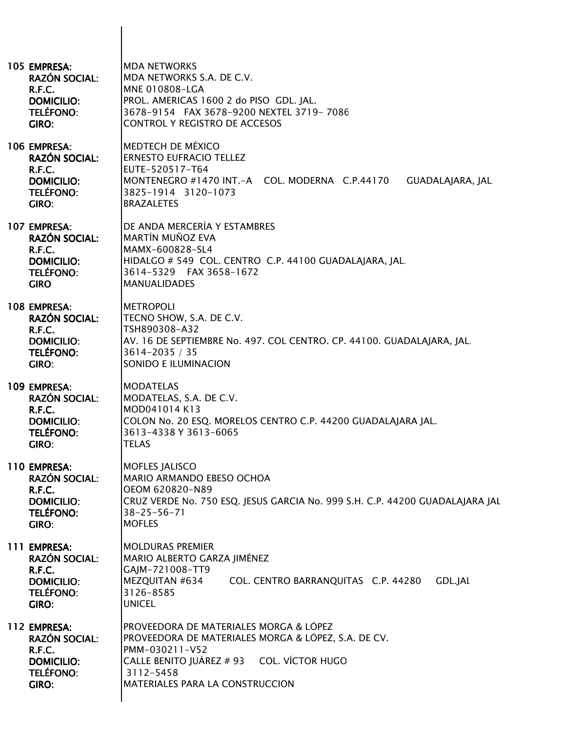| 105 EMPRESA:<br><b>RAZÓN SOCIAL:</b><br>R.F.C.<br><b>DOMICILIO:</b><br><b>TELÉFONO:</b><br>GIRO:        | <b>MDA NETWORKS</b><br>MDA NETWORKS S.A. DE C.V.<br><b>MNE 010808-LGA</b><br>PROL. AMERICAS 1600 2 do PISO GDL. JAL.<br>3678-9154 FAX 3678-9200 NEXTEL 3719-7086<br>CONTROL Y REGISTRO DE ACCESOS            |
|---------------------------------------------------------------------------------------------------------|--------------------------------------------------------------------------------------------------------------------------------------------------------------------------------------------------------------|
| 106 EMPRESA:<br><b>RAZÓN SOCIAL:</b><br>R.F.C.<br><b>DOMICILIO:</b><br><b>TELÉFONO:</b><br>GIRO:        | <b>MEDTECH DE MÉXICO</b><br><b>ERNESTO EUFRACIO TELLEZ</b><br>EUTE-520517-T64<br>MONTENEGRO #1470 INT.-A COL. MODERNA C.P.44170<br><b>GUADALAJARA, JAL</b><br>3825-1914 3120-1073<br><b>BRAZALETES</b>       |
| 107 EMPRESA:<br><b>RAZÓN SOCIAL:</b><br>R.F.C.<br><b>DOMICILIO:</b><br><b>TELÉFONO:</b><br><b>GIRO</b>  | DE ANDA MERCERÍA Y ESTAMBRES<br><b>MARTÍN MUÑOZ EVA</b><br>MAMX-600828-SL4<br>HIDALGO # 549 COL. CENTRO C.P. 44100 GUADALAJARA, JAL.<br>3614-5329 FAX 3658-1672<br><b>MANUALIDADES</b>                       |
| 108 EMPRESA:<br><b>RAZÓN SOCIAL:</b><br>R.F.C.<br><b>DOMICILIO:</b><br><b>TELÉFONO:</b><br>GIRO:        | <b>METROPOLI</b><br>TECNO SHOW, S.A. DE C.V.<br>TSH890308-A32<br>AV. 16 DE SEPTIEMBRE No. 497. COL CENTRO. CP. 44100. GUADALAJARA, JAL<br>3614-2035 / 35<br>SONIDO E ILUMINACION                             |
| 109 EMPRESA:<br><b>RAZÓN SOCIAL:</b><br>R.F.C.<br><b>DOMICILIO:</b><br><b>TELÉFONO:</b><br><b>GIRO:</b> | <b>MODATELAS</b><br>MODATELAS, S.A. DE C.V.<br>MOD041014 K13<br>COLON No. 20 ESQ. MORELOS CENTRO C.P. 44200 GUADALAJARA JAL.<br>3613-4338 Y 3613-6065<br><b>TELAS</b>                                        |
| 110 EMPRESA:<br><b>RAZÓN SOCIAL:</b><br>R.F.C.<br><b>DOMICILIO:</b><br><b>TELÉFONO:</b><br>GIRO:        | <b>MOFLES JALISCO</b><br>MARIO ARMANDO EBESO OCHOA<br>OEOM 620820-N89<br>CRUZ VERDE No. 750 ESQ. JESUS GARCIA No. 999 S.H. C.P. 44200 GUADALAJARA JAL<br>$38 - 25 - 56 - 71$<br><b>MOFLES</b>                |
| 111 EMPRESA:<br><b>RAZÓN SOCIAL:</b><br>R.F.C.<br><b>DOMICILIO:</b><br><b>TELÉFONO:</b><br>GIRO:        | <b>MOLDURAS PREMIER</b><br>MARIO ALBERTO GARZA JIMÉNEZ<br>GAJM-721008-TT9<br>MEZQUITAN #634<br>COL. CENTRO BARRANQUITAS C.P. 44280<br><b>GDL.JAL</b><br>3126-8585<br><b>UNICEL</b>                           |
| 112 EMPRESA:<br><b>RAZÓN SOCIAL:</b><br>R.F.C.<br><b>DOMICILIO:</b><br><b>TELÉFONO:</b><br><b>GIRO:</b> | PROVEEDORA DE MATERIALES MORGA & LÓPEZ<br>PROVEEDORA DE MATERIALES MORGA & LÓPEZ, S.A. DE CV.<br>PMM-030211-V52<br>CALLE BENITO JUÁREZ # 93 COL. VÍCTOR HUGO<br>3112-5458<br>MATERIALES PARA LA CONSTRUCCION |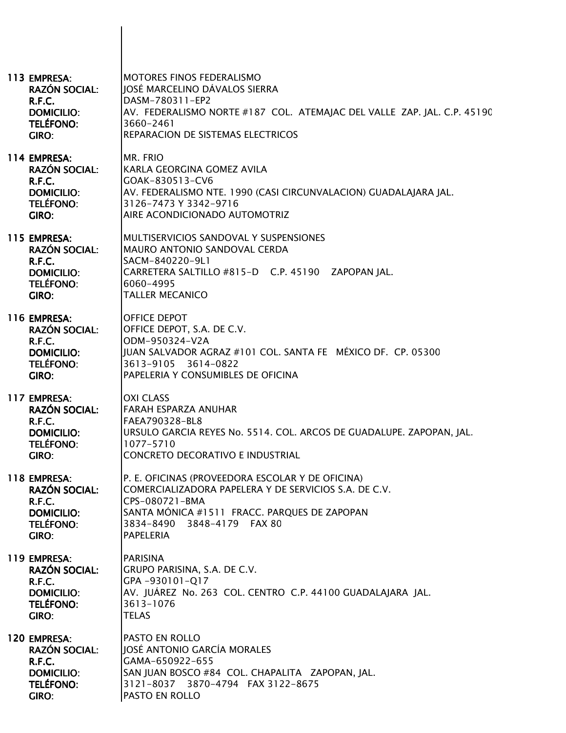| 113 EMPRESA:<br><b>RAZÓN SOCIAL:</b><br>R.F.C.<br><b>DOMICILIO:</b><br><b>TELÉFONO:</b><br>GIRO:        | MOTORES FINOS FEDERALISMO<br>JOSÉ MARCELINO DÁVALOS SIERRA<br>DASM-780311-EP2<br>AV. FEDERALISMO NORTE #187 COL. ATEMAJAC DEL VALLE ZAP. JAL. C.P. 45190<br>3660-2461<br>REPARACION DE SISTEMAS ELECTRICOS                    |
|---------------------------------------------------------------------------------------------------------|-------------------------------------------------------------------------------------------------------------------------------------------------------------------------------------------------------------------------------|
| 114 EMPRESA:<br><b>RAZÓN SOCIAL:</b><br>R.F.C.<br><b>DOMICILIO:</b><br><b>TELÉFONO:</b><br>GIRO:        | MR. FRIO<br>KARLA GEORGINA GOMEZ AVILA<br>GOAK-830513-CV6<br>AV. FEDERALISMO NTE. 1990 (CASI CIRCUNVALACION) GUADALAJARA JAL.<br>3126-7473 Y 3342-9716<br>AIRE ACONDICIONADO AUTOMOTRIZ                                       |
| 115 EMPRESA:<br><b>RAZÓN SOCIAL:</b><br>R.F.C.<br><b>DOMICILIO:</b><br><b>TELÉFONO:</b><br>GIRO:        | MULTISERVICIOS SANDOVAL Y SUSPENSIONES<br>MAURO ANTONIO SANDOVAL CERDA<br>SACM-840220-9L1<br>CARRETERA SALTILLO #815-D C.P. 45190 ZAPOPAN JAL.<br>6060-4995<br><b>TALLER MECANICO</b>                                         |
| 116 EMPRESA:<br><b>RAZÓN SOCIAL:</b><br>R.F.C.<br><b>DOMICILIO:</b><br><b>TELÉFONO:</b><br><b>GIRO:</b> | OFFICE DEPOT<br>OFFICE DEPOT, S.A. DE C.V.<br>ODM-950324-V2A<br>JUAN SALVADOR AGRAZ #101 COL. SANTA FE MÉXICO DF. CP. 05300<br>3613-9105 3614-0822<br>PAPELERIA Y CONSUMIBLES DE OFICINA                                      |
| 117 EMPRESA:<br><b>RAZÓN SOCIAL:</b><br>R.F.C.<br><b>DOMICILIO:</b><br><b>TELÉFONO:</b><br><b>GIRO:</b> | <b>OXI CLASS</b><br>FARAH ESPARZA ANUHAR<br>FAEA790328-BL8<br>URSULO GARCIA REYES No. 5514. COL. ARCOS DE GUADALUPE. ZAPOPAN, JAL.<br>1077-5710<br>CONCRETO DECORATIVO E INDUSTRIAL                                           |
| 118 EMPRESA:<br><b>RAZÓN SOCIAL:</b><br>R.F.C.<br><b>DOMICILIO:</b><br><b>TELÉFONO:</b><br><b>GIRO:</b> | P. E. OFICINAS (PROVEEDORA ESCOLAR Y DE OFICINA)<br>COMERCIALIZADORA PAPELERA Y DE SERVICIOS S.A. DE C.V.<br>CPS-080721-BMA<br>SANTA MÓNICA #1511 FRACC. PARQUES DE ZAPOPAN<br>3834-8490 3848-4179 FAX 80<br><b>PAPELERIA</b> |
| 119 EMPRESA:<br><b>RAZÓN SOCIAL:</b><br>R.F.C.<br><b>DOMICILIO:</b><br><b>TELÉFONO:</b><br>GIRO:        | <b>PARISINA</b><br>GRUPO PARISINA, S.A. DE C.V.<br>GPA-930101-Q17<br>AV. JUÁREZ No. 263 COL. CENTRO C.P. 44100 GUADALAJARA JAL.<br>3613-1076<br><b>TELAS</b>                                                                  |
| 120 EMPRESA:<br><b>RAZÓN SOCIAL:</b><br>R.F.C.<br><b>DOMICILIO:</b><br><b>TELÉFONO:</b><br>GIRO:        | PASTO EN ROLLO<br>JOSÉ ANTONIO GARCÍA MORALES<br>GAMA-650922-655<br>SAN JUAN BOSCO #84 COL. CHAPALITA ZAPOPAN, JAL.<br>3121-8037 3870-4794 FAX 3122-8675<br>PASTO EN ROLLO                                                    |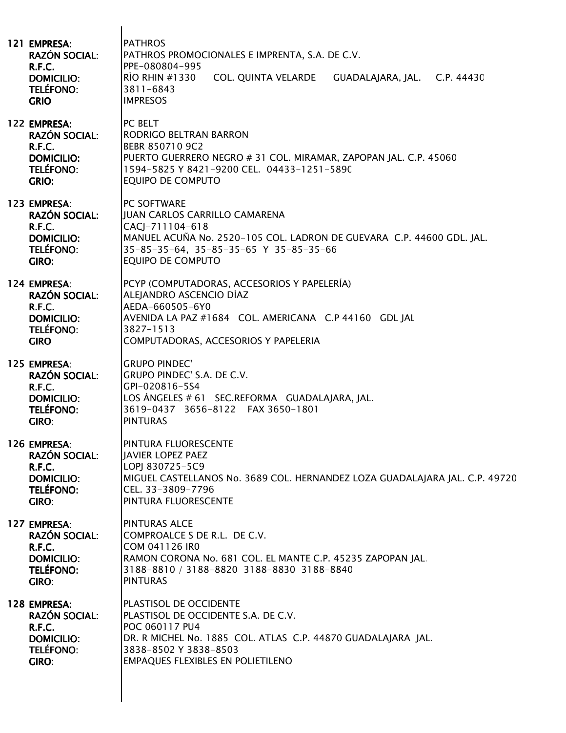| 121 EMPRESA:<br><b>RAZÓN SOCIAL:</b><br>R.F.C.<br><b>DOMICILIO:</b><br><b>TELÉFONO:</b><br><b>GRIO</b>  | <b>PATHROS</b><br>PATHROS PROMOCIONALES E IMPRENTA, S.A. DE C.V.<br>PPE-080804-995<br>COL. QUINTA VELARDE GUADALAJARA, JAL. C.P. 44430<br>$\overline{R}$ Rio RHIN #1330<br>3811-6843<br><b>IMPRESOS</b>        |
|---------------------------------------------------------------------------------------------------------|----------------------------------------------------------------------------------------------------------------------------------------------------------------------------------------------------------------|
| 122 EMPRESA:<br><b>RAZÓN SOCIAL:</b><br>R.F.C.<br><b>DOMICILIO:</b><br><b>TELÉFONO:</b><br><b>GRIO:</b> | PC BELT<br>RODRIGO BELTRAN BARRON<br>BEBR 850710 9C2<br>PUERTO GUERRERO NEGRO # 31 COL. MIRAMAR, ZAPOPAN JAL. C.P. 45060<br>1594-5825 Y 8421-9200 CEL. 04433-1251-5890<br><b>EQUIPO DE COMPUTO</b>             |
| 123 EMPRESA:<br><b>RAZÓN SOCIAL:</b><br>R.F.C.<br><b>DOMICILIO:</b><br><b>TELÉFONO:</b><br>GIRO:        | PC SOFTWARE<br>JUAN CARLOS CARRILLO CAMARENA<br>CACJ-711104-618<br>MANUEL ACUÑA No. 2520-105 COL. LADRON DE GUEVARA C.P. 44600 GDL. JAL.<br>35-85-35-64, 35-85-35-65 Y 35-85-35-66<br><b>EQUIPO DE COMPUTO</b> |
| 124 EMPRESA:<br><b>RAZÓN SOCIAL:</b><br>R.F.C.<br><b>DOMICILIO:</b><br><b>TELÉFONO:</b><br><b>GIRO</b>  | PCYP (COMPUTADORAS, ACCESORIOS Y PAPELERÍA)<br>ALEJANDRO ASCENCIO DÍAZ<br>AEDA-660505-6Y0<br>AVENIDA LA PAZ #1684 COL. AMERICANA C.P 44160 GDL JAL<br>3827-1513<br>COMPUTADORAS, ACCESORIOS Y PAPELERIA        |
| 125 EMPRESA:<br><b>RAZÓN SOCIAL:</b><br>R.F.C.<br><b>DOMICILIO:</b><br><b>TELÉFONO:</b><br>GIRO:        | <b>GRUPO PINDEC'</b><br>GRUPO PINDEC' S.A. DE C.V.<br>GPI-020816-5S4<br>LOS ÁNGELES # 61 SEC.REFORMA GUADALAJARA, JAL.<br>3619-0437 3656-8122 FAX 3650-1801<br><b>PINTURAS</b>                                 |
| 126 EMPRESA:<br><b>RAZÓN SOCIAL:</b><br>R.F.C.<br><b>DOMICILIO:</b><br><b>TELÉFONO:</b><br><b>GIRO:</b> | PINTURA FLUORESCENTE<br><b>JAVIER LOPEZ PAEZ</b><br>LOPJ 830725-5C9<br>MIGUEL CASTELLANOS No. 3689 COL. HERNANDEZ LOZA GUADALAJARA JAL. C.P. 49720<br>CEL. 33-3809-7796<br>PINTURA FLUORESCENTE                |
| 127 EMPRESA:<br><b>RAZÓN SOCIAL:</b><br>R.F.C.<br><b>DOMICILIO:</b><br><b>TELÉFONO:</b><br>GIRO:        | <b>PINTURAS ALCE</b><br>COMPROALCE S DE R.L. DE C.V.<br>COM 041126 IRO<br>RAMON CORONA No. 681 COL. EL MANTE C.P. 45235 ZAPOPAN JAL.<br>3188-8810 / 3188-8820 3188-8830 3188-8840<br><b>PINTURAS</b>           |
| 128 EMPRESA:<br><b>RAZÓN SOCIAL:</b><br>R.F.C.<br><b>DOMICILIO:</b><br><b>TELÉFONO:</b><br>GIRO:        | PLASTISOL DE OCCIDENTE<br>PLASTISOL DE OCCIDENTE S.A. DE C.V.<br>POC 060117 PU4<br>DR. R MICHEL No. 1885 COL. ATLAS C.P. 44870 GUADALAJARA JAL.<br>3838-8502 Y 3838-8503<br>EMPAQUES FLEXIBLES EN POLIETILENO  |
|                                                                                                         |                                                                                                                                                                                                                |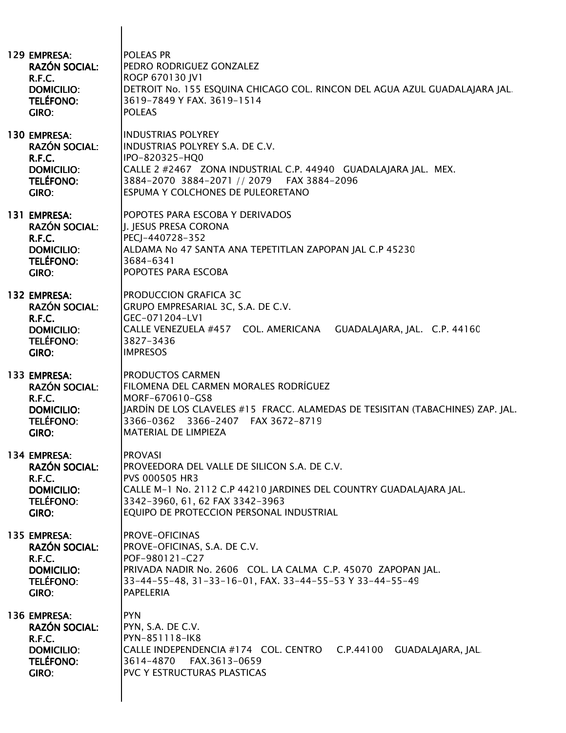| 129 EMPRESA:<br><b>RAZÓN SOCIAL:</b><br><b>R.F.C.</b><br><b>DOMICILIO:</b><br>TELÉFONO:<br>GIRO:               | POLEAS PR<br>PEDRO RODRIGUEZ GONZALEZ<br>ROGP 670130 JV1<br>DETROIT No. 155 ESQUINA CHICAGO COL. RINCON DEL AGUA AZUL GUADALAJARA JAL.<br>3619-7849 Y FAX. 3619-1514<br><b>POLEAS</b>                                                 |
|----------------------------------------------------------------------------------------------------------------|---------------------------------------------------------------------------------------------------------------------------------------------------------------------------------------------------------------------------------------|
| 130 EMPRESA:<br><b>RAZÓN SOCIAL:</b><br><b>R.F.C.</b><br><b>DOMICILIO:</b><br>TELÉFONO:<br>GIRO:               | <b>INDUSTRIAS POLYREY</b><br>INDUSTRIAS POLYREY S.A. DE C.V.<br>IPO-820325-HQ0<br>CALLE 2 #2467 ZONA INDUSTRIAL C.P. 44940 GUADALAJARA JAL. MEX.<br>3884-2070 3884-2071 // 2079    FAX 3884-2096<br>ESPUMA Y COLCHONES DE PULEORETANO |
| 131 EMPRESA:<br><b>RAZÓN SOCIAL:</b><br><b>R.F.C.</b><br><b>DOMICILIO:</b><br><b>TELÉFONO:</b><br><b>GIRO:</b> | POPOTES PARA ESCOBA Y DERIVADOS<br>I. JESUS PRESA CORONA<br>PECJ-440728-352<br>ALDAMA No 47 SANTA ANA TEPETITLAN ZAPOPAN JAL C.P 45230<br>3684-6341<br>POPOTES PARA ESCOBA                                                            |
| 132 EMPRESA:<br><b>RAZÓN SOCIAL:</b><br>R.F.C.<br><b>DOMICILIO:</b><br><b>TELÉFONO:</b><br>GIRO:               | <b>PRODUCCION GRAFICA 3C</b><br>GRUPO EMPRESARIAL 3C, S.A. DE C.V.<br>GEC-071204-LV1<br>CALLE VENEZUELA #457 COL. AMERICANA<br>GUADALAJARA, JAL. C.P. 44160<br>3827-3436<br><b>IMPRESOS</b>                                           |
| 133 EMPRESA:<br><b>RAZÓN SOCIAL:</b><br><b>R.F.C.</b><br><b>DOMICILIO:</b><br><b>TELÉFONO:</b><br><b>GIRO:</b> | <b>PRODUCTOS CARMEN</b><br>FILOMENA DEL CARMEN MORALES RODRÍGUEZ<br>MORF-670610-GS8<br>JARDÍN DE LOS CLAVELES #15 FRACC. ALAMEDAS DE TESISITAN (TABACHINES) ZAP. JAL.<br>3366-0362<br>3366-2407 FAX 3672-8719<br>MATERIAL DE LIMPIEZA |
| 134 EMPRESA:<br><b>RAZÓN SOCIAL:</b><br>R.F.C.<br><b>DOMICILIO:</b><br>TELÉFONO:<br>GIRO:                      | <b>PROVASI</b><br>PROVEEDORA DEL VALLE DE SILICON S.A. DE C.V.<br>PVS 000505 HR3<br>CALLE M-1 No. 2112 C.P 44210 JARDINES DEL COUNTRY GUADALAJARA JAL.<br>3342-3960, 61, 62 FAX 3342-3963<br>EQUIPO DE PROTECCION PERSONAL INDUSTRIAL |
| 135 EMPRESA:<br><b>RAZÓN SOCIAL:</b><br><b>R.F.C.</b><br><b>DOMICILIO:</b><br><b>TELÉFONO:</b><br>GIRO:        | <b>PROVE-OFICINAS</b><br>PROVE-OFICINAS, S.A. DE C.V.<br>POF-980121-C27<br>PRIVADA NADIR No. 2606 COL. LA CALMA C.P. 45070 ZAPOPAN JAL.<br>33-44-55-48, 31-33-16-01, FAX. 33-44-55-53 Y 33-44-55-49<br><b>PAPELERIA</b>               |
| 136 EMPRESA:<br><b>RAZÓN SOCIAL:</b><br><b>R.F.C.</b><br><b>DOMICILIO:</b><br>TELÉFONO:<br>GIRO:               | <b>PYN</b><br>PYN, S.A. DE C.V.<br>PYN-851118-IK8<br>CALLE INDEPENDENCIA #174 COL. CENTRO C.P.44100 GUADALAJARA, JAL.<br>3614-4870<br>FAX.3613-0659<br>PVC Y ESTRUCTURAS PLASTICAS                                                    |
|                                                                                                                |                                                                                                                                                                                                                                       |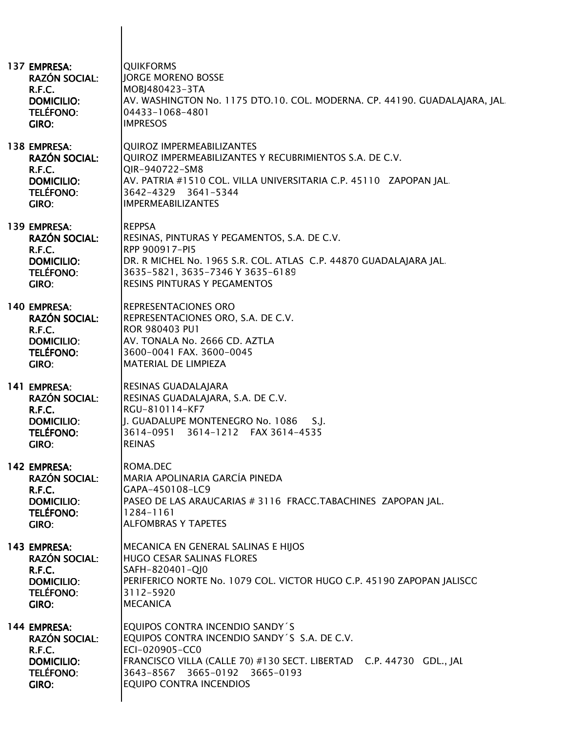| 137 EMPRESA:<br><b>RAZÓN SOCIAL:</b><br>R.F.C.<br><b>DOMICILIO:</b><br><b>TELÉFONO:</b><br>GIRO:        | <b>QUIKFORMS</b><br><b>IORGE MORENO BOSSE</b><br>MOBJ480423-3TA<br>AV. WASHINGTON No. 1175 DTO.10. COL. MODERNA. CP. 44190. GUADALAJARA, JAL<br>04433-1068-4801<br><b>IMPRESOS</b>                                                     |
|---------------------------------------------------------------------------------------------------------|----------------------------------------------------------------------------------------------------------------------------------------------------------------------------------------------------------------------------------------|
| 138 EMPRESA:<br><b>RAZÓN SOCIAL:</b><br>R.F.C.<br><b>DOMICILIO:</b><br><b>TELÉFONO:</b><br><b>GIRO:</b> | <b>QUIROZ IMPERMEABILIZANTES</b><br>QUIROZ IMPERMEABILIZANTES Y RECUBRIMIENTOS S.A. DE C.V.<br>QIR-940722-SM8<br>AV. PATRIA #1510 COL. VILLA UNIVERSITARIA C.P. 45110 ZAPOPAN JAL.<br>3642-4329 3641-5344<br><b>IMPERMEABILIZANTES</b> |
| 139 EMPRESA:<br><b>RAZÓN SOCIAL:</b><br>R.F.C.<br><b>DOMICILIO:</b><br><b>TELÉFONO:</b><br>GIRO:        | <b>REPPSA</b><br>RESINAS, PINTURAS Y PEGAMENTOS, S.A. DE C.V.<br>RPP 900917-PI5<br>DR. R MICHEL No. 1965 S.R. COL. ATLAS C.P. 44870 GUADALAJARA JAL.<br>3635-5821, 3635-7346 Y 3635-6189<br>RESINS PINTURAS Y PEGAMENTOS               |
| 140 EMPRESA:<br><b>RAZÓN SOCIAL:</b><br>R.F.C.<br><b>DOMICILIO:</b><br><b>TELÉFONO:</b><br>GIRO:        | REPRESENTACIONES ORO<br>REPRESENTACIONES ORO, S.A. DE C.V.<br>ROR 980403 PU1<br>AV. TONALA No. 2666 CD. AZTLA<br>3600-0041 FAX. 3600-0045<br>MATERIAL DE LIMPIEZA                                                                      |
| 141 EMPRESA:<br><b>RAZÓN SOCIAL:</b><br><b>R.F.C.</b><br><b>DOMICILIO:</b><br><b>TELÉFONO:</b><br>GIRO: | RESINAS GUADALAJARA<br>RESINAS GUADALAJARA, S.A. DE C.V.<br>RGU-810114-KF7<br>J. GUADALUPE MONTENEGRO No. 1086<br>S.J.<br>3614-0951<br>3614-1212   FAX 3614-4535<br><b>REINAS</b>                                                      |
| 142 EMPRESA:<br><b>RAZÓN SOCIAL:</b><br>R.F.C.<br><b>DOMICILIO:</b><br><b>TELÉFONO:</b><br>GIRO:        | ROMA.DEC<br>MARIA APOLINARIA GARCÍA PINEDA<br>GAPA-450108-LC9<br>PASEO DE LAS ARAUCARIAS # 3116 FRACC.TABACHINES ZAPOPAN JAL.<br>1284-1161<br><b>ALFOMBRAS Y TAPETES</b>                                                               |
| 143 EMPRESA:<br><b>RAZÓN SOCIAL:</b><br><b>R.F.C.</b><br><b>DOMICILIO:</b><br><b>TELÉFONO:</b><br>GIRO: | MECANICA EN GENERAL SALINAS E HIJOS<br>HUGO CESAR SALINAS FLORES<br>SAFH-820401-QJ0<br>PERIFERICO NORTE No. 1079 COL. VICTOR HUGO C.P. 45190 ZAPOPAN JALISCO<br>3112-5920<br><b>MECANICA</b>                                           |
| 144 EMPRESA:<br><b>RAZÓN SOCIAL:</b><br>R.F.C.<br><b>DOMICILIO:</b><br><b>TELÉFONO:</b><br>GIRO:        | EQUIPOS CONTRA INCENDIO SANDY'S<br>EQUIPOS CONTRA INCENDIO SANDY'S S.A. DE C.V.<br>ECI-020905-CC0<br>FRANCISCO VILLA (CALLE 70) #130 SECT. LIBERTAD C.P. 44730 GDL., JAL<br>3643-8567 3665-0192 3665-0193<br>EQUIPO CONTRA INCENDIOS   |

 $\overline{\phantom{a}}$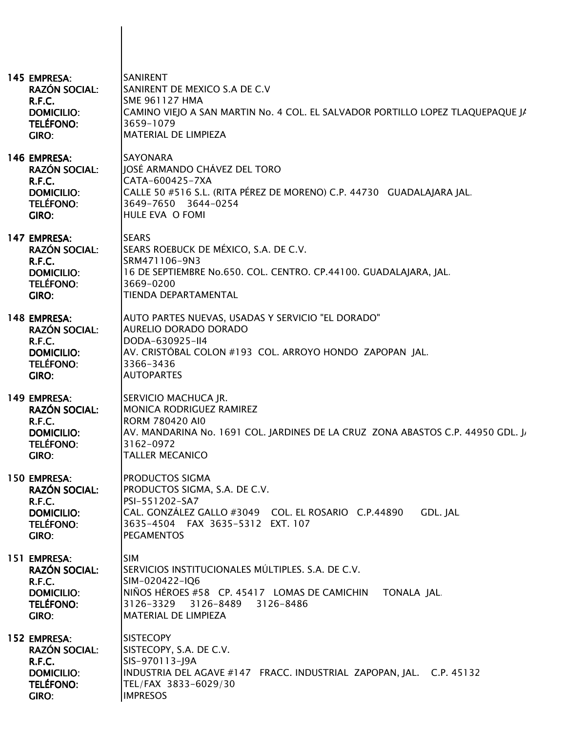| 145 EMPRESA:<br><b>RAZÓN SOCIAL:</b><br>R.F.C.<br><b>DOMICILIO:</b><br><b>TELÉFONO:</b><br>GIRO:               | <b>SANIRENT</b><br>SANIRENT DE MEXICO S.A DE C.V<br><b>SME 961127 HMA</b><br>CAMINO VIEJO A SAN MARTIN No. 4 COL. EL SALVADOR PORTILLO LOPEZ TLAQUEPAQUE JA<br>3659-1079<br><b>MATERIAL DE LIMPIEZA</b>     |
|----------------------------------------------------------------------------------------------------------------|-------------------------------------------------------------------------------------------------------------------------------------------------------------------------------------------------------------|
| 146 EMPRESA:<br><b>RAZÓN SOCIAL:</b><br>R.F.C.<br><b>DOMICILIO:</b><br><b>TELÉFONO:</b><br>GIRO:               | <b>SAYONARA</b><br>JOSÉ ARMANDO CHÁVEZ DEL TORO<br>CATA-600425-7XA<br>CALLE 50 #516 S.L. (RITA PÉREZ DE MORENO) C.P. 44730 GUADALAJARA JAL.<br>3649-7650 3644-0254<br>HULE EVA O FOMI                       |
| 147 EMPRESA:<br><b>RAZÓN SOCIAL:</b><br><b>R.F.C.</b><br><b>DOMICILIO:</b><br><b>TELÉFONO:</b><br><b>GIRO:</b> | <b>SEARS</b><br>SEARS ROEBUCK DE MÉXICO, S.A. DE C.V.<br>SRM471106-9N3<br>16 DE SEPTIEMBRE No.650. COL. CENTRO. CP.44100. GUADALAJARA, JAL.<br>3669-0200<br><b>TIENDA DEPARTAMENTAL</b>                     |
| 148 EMPRESA:<br><b>RAZÓN SOCIAL:</b><br>R.F.C.<br><b>DOMICILIO:</b><br>TELÉFONO:<br>GIRO:                      | AUTO PARTES NUEVAS, USADAS Y SERVICIO "EL DORADO"<br><b>AURELIO DORADO DORADO</b><br>DODA-630925-II4<br>AV. CRISTÓBAL COLON #193 COL. ARROYO HONDO ZAPOPAN JAL.<br>3366-3436<br><b>AUTOPARTES</b>           |
| 149 EMPRESA:<br><b>RAZÓN SOCIAL:</b><br>R.F.C.<br><b>DOMICILIO:</b><br><b>TELÉFONO:</b><br>GIRO:               | SERVICIO MACHUCA JR.<br><b>MONICA RODRIGUEZ RAMIREZ</b><br><b>RORM 780420 AI0</b><br>AV. MANDARINA No. 1691 COL. JARDINES DE LA CRUZ ZONA ABASTOS C.P. 44950 GDL. J,<br>3162-0972<br><b>TALLER MECANICO</b> |
| 150 EMPRESA:<br><b>RAZÓN SOCIAL:</b><br>R.F.C.<br><b>DOMICILIO:</b><br><b>TELÉFONO:</b><br>GIRO:               | PRODUCTOS SIGMA<br>PRODUCTOS SIGMA, S.A. DE C.V.<br>PSI-551202-SA7<br>CAL. GONZÁLEZ GALLO #3049 COL. EL ROSARIO C.P.44890<br>GDL. JAL<br>3635-4504 FAX 3635-5312 EXT. 107<br><b>PEGAMENTOS</b>              |
| 151 EMPRESA:<br><b>RAZÓN SOCIAL:</b><br>R.F.C.<br><b>DOMICILIO:</b><br><b>TELÉFONO:</b><br>GIRO:               | <b>SIM</b><br>SERVICIOS INSTITUCIONALES MÚLTIPLES, S.A. DE C.V.<br>SIM-020422-IQ6<br>NIÑOS HÉROES #58 CP. 45417 LOMAS DE CAMICHIN<br>TONALA JAL<br>3126-3329 3126-8489<br>3126-8486<br>MATERIAL DE LIMPIEZA |
| 152 EMPRESA:<br><b>RAZÓN SOCIAL:</b><br>R.F.C.<br><b>DOMICILIO:</b><br><b>TELÉFONO:</b><br>GIRO:               | <b>SISTECOPY</b><br>SISTECOPY, S.A. DE C.V.<br>SIS-970113-J9A<br>INDUSTRIA DEL AGAVE #147 FRACC. INDUSTRIAL ZAPOPAN, JAL. C.P. 45132<br>TEL/FAX 3833-6029/30<br><b>IMPRESOS</b>                             |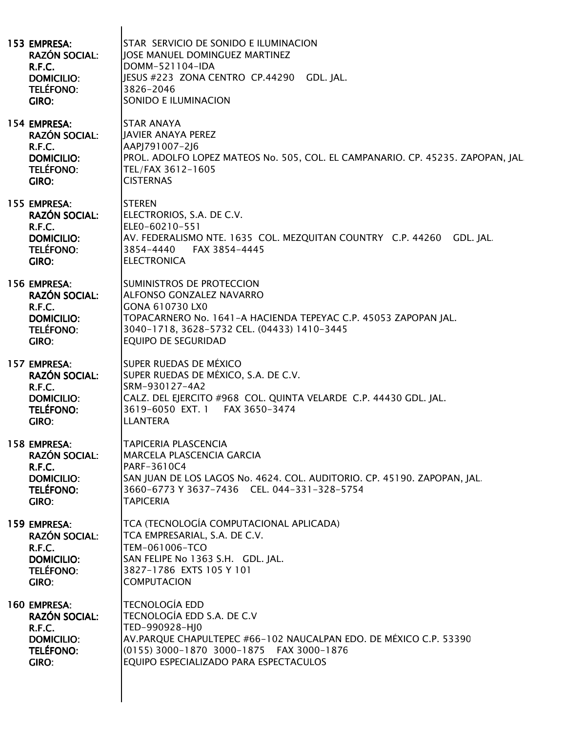| 153 EMPRESA:<br><b>RAZÓN SOCIAL:</b><br>R.F.C.<br><b>DOMICILIO:</b><br>TELÉFONO:<br>GIRO:        | STAR SERVICIO DE SONIDO E ILUMINACION<br><b>JOSE MANUEL DOMINGUEZ MARTINEZ</b><br>DOMM-521104-IDA<br>JESUS #223 ZONA CENTRO CP.44290 GDL. JAL.<br>3826-2046<br>SONIDO E ILUMINACION                                              |
|--------------------------------------------------------------------------------------------------|----------------------------------------------------------------------------------------------------------------------------------------------------------------------------------------------------------------------------------|
| 154 EMPRESA:<br><b>RAZÓN SOCIAL:</b><br>R.F.C.<br><b>DOMICILIO:</b><br>TELÉFONO:<br>GIRO:        | <b>STAR ANAYA</b><br><b>JAVIER ANAYA PEREZ</b><br>AAPJ791007-2J6<br>PROL. ADOLFO LOPEZ MATEOS No. 505, COL. EL CAMPANARIO. CP. 45235. ZAPOPAN, JAL.<br>TEL/FAX 3612-1605<br><b>CISTERNAS</b>                                     |
| 155 EMPRESA:<br><b>RAZÓN SOCIAL:</b><br>R.F.C.<br><b>DOMICILIO:</b><br>TELÉFONO:<br>GIRO:        | <b>STEREN</b><br>ELECTRORIOS, S.A. DE C.V.<br>ELE0-60210-551<br>AV. FEDERALISMO NTE. 1635 COL. MEZQUITAN COUNTRY C.P. 44260 GDL. JAL.<br>3854-4440<br>FAX 3854-4445<br><b>ELECTRONICA</b>                                        |
| 156 EMPRESA:<br><b>RAZÓN SOCIAL:</b><br>R.F.C.<br><b>DOMICILIO:</b><br>TELÉFONO:<br>GIRO:        | SUMINISTROS DE PROTECCION<br>ALFONSO GONZALEZ NAVARRO<br>GONA 610730 LX0<br>TOPACARNERO No. 1641-A HACIENDA TEPEYAC C.P. 45053 ZAPOPAN JAL.<br>3040-1718, 3628-5732 CEL. (04433) 1410-3445<br><b>EQUIPO DE SEGURIDAD</b>         |
| 157 EMPRESA:<br><b>RAZÓN SOCIAL:</b><br>R.F.C.<br><b>DOMICILIO:</b><br><b>TELÉFONO:</b><br>GIRO: | SUPER RUEDAS DE MÉXICO<br>SUPER RUEDAS DE MÉXICO, S.A. DE C.V.<br>SRM-930127-4A2<br>CALZ. DEL EJERCITO #968 COL. QUINTA VELARDE C.P. 44430 GDL. JAL.<br>3619-6050 EXT. 1 FAX 3650-3474<br><b>LLANTERA</b>                        |
| 158 EMPRESA:<br><b>RAZÓN SOCIAL:</b><br>R.F.C.<br><b>DOMICILIO:</b><br><b>TELÉFONO:</b><br>GIRO: | <b>TAPICERIA PLASCENCIA</b><br><b>MARCELA PLASCENCIA GARCIA</b><br>PARF-3610C4<br>SAN JUAN DE LOS LAGOS No. 4624. COL. AUDITORIO. CP. 45190. ZAPOPAN, JAL.<br>3660-6773 Y 3637-7436 CEL. 044-331-328-5754<br><b>TAPICERIA</b>    |
| 159 EMPRESA:<br><b>RAZÓN SOCIAL:</b><br>R.F.C.<br><b>DOMICILIO:</b><br><b>TELÉFONO:</b><br>GIRO: | TCA (TECNOLOGÍA COMPUTACIONAL APLICADA)<br>TCA EMPRESARIAL, S.A. DE C.V.<br>TEM-061006-TCO<br>SAN FELIPE No 1363 S.H. GDL. JAL.<br>3827-1786 EXTS 105 Y 101<br><b>COMPUTACION</b>                                                |
| 160 EMPRESA:<br><b>RAZÓN SOCIAL:</b><br>R.F.C.<br><b>DOMICILIO:</b><br><b>TELÉFONO:</b><br>GIRO: | <b>TECNOLOGÍA EDD</b><br>TECNOLOGÍA EDD S.A. DE C.V<br>TED-990928-HJ0<br>AV.PARQUE CHAPULTEPEC #66-102 NAUCALPAN EDO. DE MÉXICO C.P. 53390<br>(0155) 3000-1870 3000-1875 FAX 3000-1876<br>EQUIPO ESPECIALIZADO PARA ESPECTACULOS |
|                                                                                                  |                                                                                                                                                                                                                                  |

 $\mathbf l$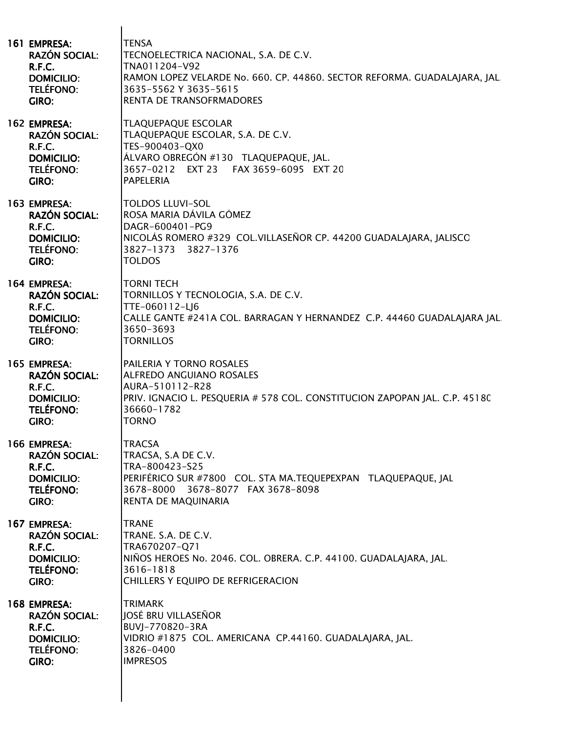| 161 EMPRESA:<br><b>RAZÓN SOCIAL:</b><br>R.F.C.<br><b>DOMICILIO:</b><br><b>TELÉFONO:</b><br>GIRO:        | <b>TENSA</b><br>TECNOELECTRICA NACIONAL, S.A. DE C.V.<br>TNA011204-V92<br>RAMON LOPEZ VELARDE No. 660. CP. 44860. SECTOR REFORMA. GUADALAJARA, JAL<br>3635-5562 Y 3635-5615<br>RENTA DE TRANSOFRMADORES |
|---------------------------------------------------------------------------------------------------------|---------------------------------------------------------------------------------------------------------------------------------------------------------------------------------------------------------|
| 162 EMPRESA:<br><b>RAZÓN SOCIAL:</b><br>R.F.C.<br><b>DOMICILIO:</b><br><b>TELÉFONO:</b><br><b>GIRO:</b> | <b>TLAQUEPAQUE ESCOLAR</b><br>TLAQUEPAQUE ESCOLAR, S.A. DE C.V.<br>TES-900403-QX0<br>ÁLVARO OBREGÓN #130 TLAQUEPAQUE, JAL.<br>3657-0212 EXT 23 FAX 3659-6095 EXT 20<br><b>PAPELERIA</b>                 |
| 163 EMPRESA:<br><b>RAZÓN SOCIAL:</b><br>R.F.C.<br><b>DOMICILIO:</b><br><b>TELÉFONO:</b><br>GIRO:        | <b>TOLDOS LLUVI-SOL</b><br>ROSA MARIA DÁVILA GÓMEZ<br>DAGR-600401-PG9<br>NICOLÁS ROMERO #329 COL.VILLASEÑOR CP. 44200 GUADALAJARA, JALISCO<br>3827-1373 3827-1376<br><b>TOLDOS</b>                      |
| 164 EMPRESA:<br><b>RAZÓN SOCIAL:</b><br>R.F.C.<br><b>DOMICILIO:</b><br><b>TELÉFONO:</b><br>GIRO:        | <b>TORNI TECH</b><br>TORNILLOS Y TECNOLOGIA, S.A. DE C.V.<br>TTE-060112-LJ6<br>CALLE GANTE #241A COL. BARRAGAN Y HERNANDEZ C.P. 44460 GUADALAJARA JAL.<br>3650-3693<br><b>TORNILLOS</b>                 |
| 165 EMPRESA:<br><b>RAZÓN SOCIAL:</b><br>R.F.C.<br><b>DOMICILIO:</b><br><b>TELÉFONO:</b><br><b>GIRO:</b> | PAILERIA Y TORNO ROSALES<br><b>ALFREDO ANGUIANO ROSALES</b><br>AURA-510112-R28<br>PRIV. IGNACIO L. PESQUERIA # 578 COL. CONSTITUCION ZAPOPAN JAL. C.P. 45180<br>36660-1782<br><b>TORNO</b>              |
| 166 EMPRESA:<br><b>RAZÓN SOCIAL:</b><br>R.F.C.<br><b>DOMICILIO:</b><br><b>TELÉFONO:</b><br>GIRO:        | <b>TRACSA</b><br>TRACSA, S.A DE C.V.<br>TRA-800423-S25<br>PERIFÉRICO SUR #7800 COL. STA MA.TEQUEPEXPAN TLAQUEPAQUE, JAL<br>3678-8000 3678-8077 FAX 3678-8098<br>RENTA DE MAQUINARIA                     |
| 167 EMPRESA:<br><b>RAZÓN SOCIAL:</b><br>R.F.C.<br><b>DOMICILIO:</b><br><b>TELÉFONO:</b><br>GIRO:        | <b>TRANE</b><br>TRANE, S.A. DE C.V.<br>TRA670207-Q71<br>NIÑOS HEROES No. 2046. COL. OBRERA. C.P. 44100. GUADALAJARA, JAL.<br>3616-1818<br>CHILLERS Y EQUIPO DE REFRIGERACION                            |
| 168 EMPRESA:<br><b>RAZÓN SOCIAL:</b><br>R.F.C.<br><b>DOMICILIO:</b><br><b>TELÉFONO:</b><br><b>GIRO:</b> | <b>TRIMARK</b><br>JOSÉ BRU VILLASEÑOR<br>BUVJ-770820-3RA<br>VIDRIO #1875 COL. AMERICANA CP.44160. GUADALAJARA, JAL.<br>3826-0400<br><b>IMPRESOS</b>                                                     |